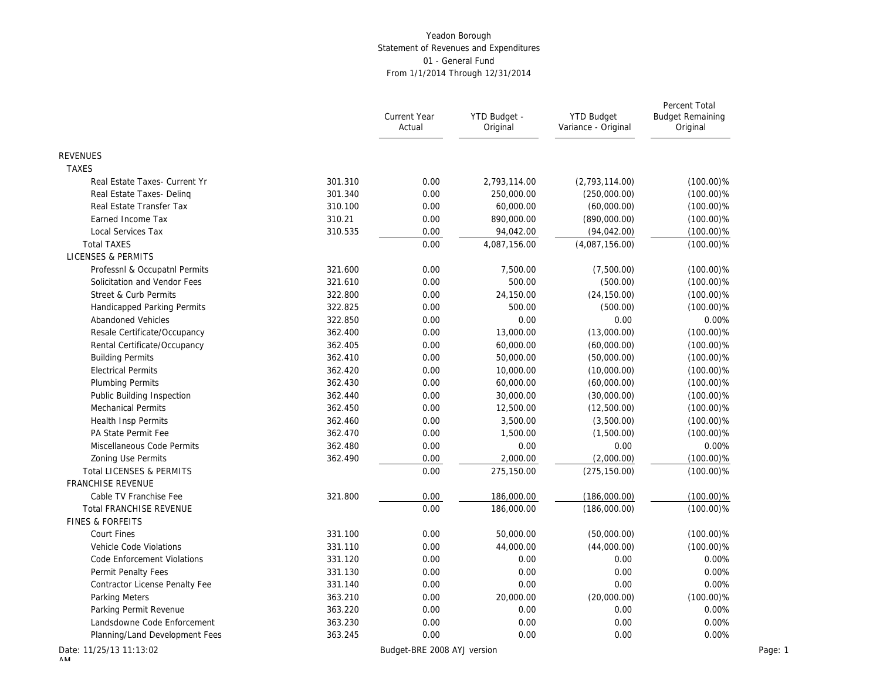|                                |         | Current Year<br>Actual      | YTD Budget -<br>Original | <b>YTD Budget</b><br>Variance - Original | Percent Total<br><b>Budget Remaining</b><br>Original |
|--------------------------------|---------|-----------------------------|--------------------------|------------------------------------------|------------------------------------------------------|
| <b>REVENUES</b>                |         |                             |                          |                                          |                                                      |
| <b>TAXES</b>                   |         |                             |                          |                                          |                                                      |
| Real Estate Taxes- Current Yr  | 301.310 | 0.00                        | 2,793,114.00             | (2,793,114.00)                           | $(100.00)\%$                                         |
| Real Estate Taxes- Deling      | 301.340 | 0.00                        | 250,000.00               | (250,000.00)                             | $(100.00)\%$                                         |
| Real Estate Transfer Tax       | 310.100 | 0.00                        | 60,000.00                | (60,000.00)                              | $(100.00)\%$                                         |
| Earned Income Tax              | 310.21  | 0.00                        | 890,000.00               | (890,000.00)                             | $(100.00)\%$                                         |
| Local Services Tax             | 310.535 | 0.00                        | 94,042.00                | (94, 042.00)                             | $(100.00)\%$                                         |
| <b>Total TAXES</b>             |         | 0.00                        | 4,087,156.00             | (4,087,156.00)                           | $(100.00)\%$                                         |
| <b>LICENSES &amp; PERMITS</b>  |         |                             |                          |                                          |                                                      |
| Professnl & Occupatnl Permits  | 321.600 | 0.00                        | 7,500.00                 | (7,500.00)                               | $(100.00)\%$                                         |
| Solicitation and Vendor Fees   | 321.610 | 0.00                        | 500.00                   | (500.00)                                 | $(100.00)\%$                                         |
| Street & Curb Permits          | 322.800 | 0.00                        | 24,150.00                | (24, 150.00)                             | $(100.00)\%$                                         |
| Handicapped Parking Permits    | 322.825 | 0.00                        | 500.00                   | (500.00)                                 | $(100.00)\%$                                         |
| Abandoned Vehicles             | 322.850 | 0.00                        | 0.00                     | 0.00                                     | 0.00%                                                |
| Resale Certificate/Occupancy   | 362.400 | 0.00                        | 13,000.00                | (13,000.00)                              | $(100.00)\%$                                         |
| Rental Certificate/Occupancy   | 362.405 | 0.00                        | 60,000.00                | (60,000.00)                              | $(100.00)\%$                                         |
| <b>Building Permits</b>        | 362.410 | 0.00                        | 50,000.00                | (50,000.00)                              | $(100.00)\%$                                         |
| <b>Electrical Permits</b>      | 362.420 | 0.00                        | 10,000.00                | (10,000.00)                              | $(100.00)\%$                                         |
| <b>Plumbing Permits</b>        | 362.430 | 0.00                        | 60,000.00                | (60,000.00)                              | $(100.00)\%$                                         |
| Public Building Inspection     | 362.440 | 0.00                        | 30,000.00                | (30,000.00)                              | $(100.00)\%$                                         |
| <b>Mechanical Permits</b>      | 362.450 | 0.00                        | 12,500.00                | (12,500.00)                              | $(100.00)\%$                                         |
| <b>Health Insp Permits</b>     | 362.460 | 0.00                        | 3,500.00                 | (3,500.00)                               | $(100.00)\%$                                         |
| PA State Permit Fee            | 362.470 | 0.00                        | 1,500.00                 | (1,500.00)                               | $(100.00)\%$                                         |
| Miscellaneous Code Permits     | 362.480 | 0.00                        | 0.00                     | 0.00                                     | 0.00%                                                |
| <b>Zoning Use Permits</b>      | 362.490 | 0.00                        | 2,000.00                 | (2,000.00)                               | $(100.00)\%$                                         |
| Total LICENSES & PERMITS       |         | 0.00                        | 275,150.00               | (275, 150.00)                            | $(100.00)\%$                                         |
| FRANCHISE REVENUE              |         |                             |                          |                                          |                                                      |
| Cable TV Franchise Fee         | 321.800 | 0.00                        | 186,000.00               | (186,000.00)                             | $(100.00)\%$                                         |
| <b>Total FRANCHISE REVENUE</b> |         | 0.00                        | 186,000.00               | (186,000.00)                             | $(100.00)\%$                                         |
| <b>FINES &amp; FORFEITS</b>    |         |                             |                          |                                          |                                                      |
| <b>Court Fines</b>             | 331.100 | 0.00                        | 50,000.00                | (50,000.00)                              | $(100.00)\%$                                         |
| Vehicle Code Violations        | 331.110 | 0.00                        | 44,000.00                | (44,000.00)                              | $(100.00)\%$                                         |
| Code Enforcement Violations    | 331.120 | 0.00                        | 0.00                     | 0.00                                     | 0.00%                                                |
| Permit Penalty Fees            | 331.130 | 0.00                        | 0.00                     | 0.00                                     | 0.00%                                                |
| Contractor License Penalty Fee | 331.140 | 0.00                        | 0.00                     | 0.00                                     | 0.00%                                                |
| Parking Meters                 | 363.210 | 0.00                        | 20,000.00                | (20,000.00)                              | $(100.00)\%$                                         |
| Parking Permit Revenue         | 363.220 | 0.00                        | 0.00                     | 0.00                                     | 0.00%                                                |
| Landsdowne Code Enforcement    | 363.230 | 0.00                        | 0.00                     | 0.00                                     | 0.00%                                                |
| Planning/Land Development Fees | 363.245 | 0.00                        | 0.00                     | 0.00                                     | 0.00%                                                |
| Date: 11/25/13 11:13:02        |         | Budget-BRE 2008 AYJ version |                          |                                          | Page: 1                                              |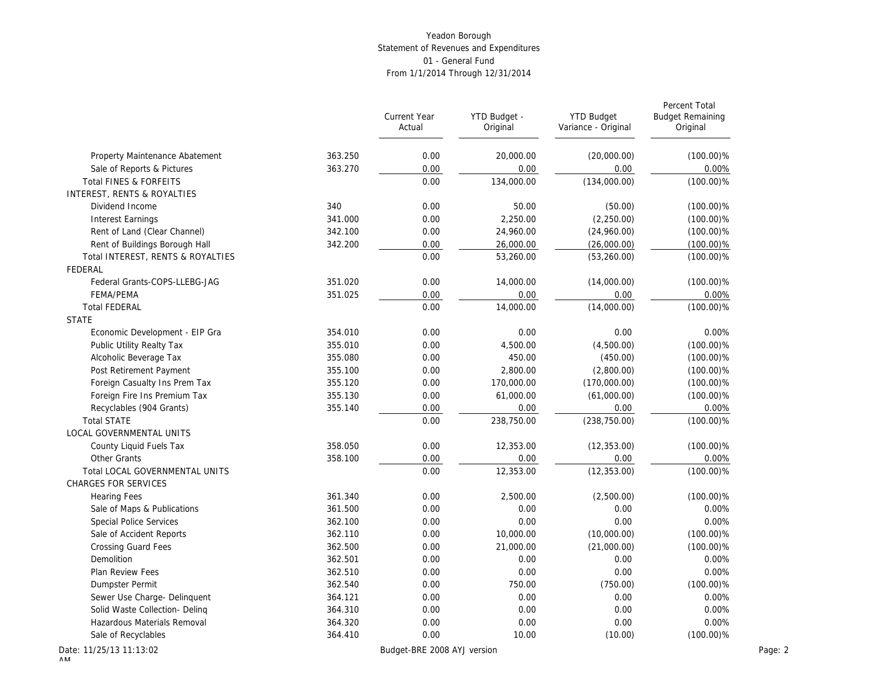|                                   |         | <b>Current Year</b><br>Actual | YTD Budget -<br>Original | <b>YTD Budget</b><br>Variance - Original | Percent Total<br><b>Budget Remaining</b><br>Original |
|-----------------------------------|---------|-------------------------------|--------------------------|------------------------------------------|------------------------------------------------------|
| Property Maintenance Abatement    | 363.250 | 0.00                          | 20,000.00                | (20,000.00)                              | $(100.00)\%$                                         |
| Sale of Reports & Pictures        | 363.270 | 0.00                          | 0.00                     | 0.00                                     | 0.00%                                                |
| Total FINES & FORFEITS            |         | 0.00                          | 134,000.00               | (134,000.00)                             | $(100.00)\%$                                         |
| INTEREST, RENTS & ROYALTIES       |         |                               |                          |                                          |                                                      |
| Dividend Income                   | 340     | 0.00                          | 50.00                    | (50.00)                                  | $(100.00)\%$                                         |
| <b>Interest Earnings</b>          | 341.000 | 0.00                          | 2,250.00                 | (2,250.00)                               | $(100.00)\%$                                         |
| Rent of Land (Clear Channel)      | 342.100 | 0.00                          | 24,960.00                | (24,960.00)                              | $(100.00)\%$                                         |
| Rent of Buildings Borough Hall    | 342.200 | 0.00                          | 26,000.00                | (26,000.00)                              | $(100.00)\%$                                         |
| Total INTEREST, RENTS & ROYALTIES |         | 0.00                          | 53,260.00                | (53, 260.00)                             | $(100.00)\%$                                         |
| FEDERAL                           |         |                               |                          |                                          |                                                      |
| Federal Grants-COPS-LLEBG-JAG     | 351.020 | 0.00                          | 14,000.00                | (14,000.00)                              | $(100.00)\%$                                         |
| FEMA/PEMA                         | 351.025 | 0.00                          | 0.00                     | 0.00                                     | 0.00%                                                |
| <b>Total FEDERAL</b>              |         | 0.00                          | 14,000.00                | (14,000.00)                              | $(100.00)\%$                                         |
| <b>STATE</b>                      |         |                               |                          |                                          |                                                      |
| Economic Development - EIP Gra    | 354.010 | 0.00                          | 0.00                     | 0.00                                     | 0.00%                                                |
| Public Utility Realty Tax         | 355.010 | 0.00                          | 4,500.00                 | (4,500.00)                               | $(100.00)\%$                                         |
| Alcoholic Beverage Tax            | 355.080 | 0.00                          | 450.00                   | (450.00)                                 | $(100.00)\%$                                         |
| Post Retirement Payment           | 355.100 | 0.00                          | 2,800.00                 | (2,800.00)                               | $(100.00)\%$                                         |
| Foreign Casualty Ins Prem Tax     | 355.120 | 0.00                          | 170,000.00               | (170,000.00)                             | $(100.00)\%$                                         |
| Foreign Fire Ins Premium Tax      | 355.130 | 0.00                          | 61,000.00                | (61,000.00)                              | $(100.00)\%$                                         |
| Recyclables (904 Grants)          | 355.140 | 0.00                          | 0.00                     | 0.00                                     | 0.00%                                                |
| <b>Total STATE</b>                |         | 0.00                          | 238,750.00               | (238, 750.00)                            | $(100.00)\%$                                         |
| LOCAL GOVERNMENTAL UNITS          |         |                               |                          |                                          |                                                      |
| County Liquid Fuels Tax           | 358.050 | 0.00                          | 12,353.00                | (12, 353.00)                             | $(100.00)\%$                                         |
| Other Grants                      | 358.100 | 0.00                          | 0.00                     | 0.00                                     | 0.00%                                                |
| Total LOCAL GOVERNMENTAL UNITS    |         | 0.00                          | 12,353.00                | (12, 353.00)                             | $(100.00)\%$                                         |
| <b>CHARGES FOR SERVICES</b>       |         |                               |                          |                                          |                                                      |
| <b>Hearing Fees</b>               | 361.340 | 0.00                          | 2,500.00                 | (2,500.00)                               | $(100.00)\%$                                         |
| Sale of Maps & Publications       | 361.500 | 0.00                          | 0.00                     | 0.00                                     | 0.00%                                                |
| Special Police Services           | 362.100 | 0.00                          | 0.00                     | 0.00                                     | 0.00%                                                |
| Sale of Accident Reports          | 362.110 | 0.00                          | 10,000.00                | (10,000.00)                              | $(100.00)\%$                                         |
| <b>Crossing Guard Fees</b>        | 362.500 | 0.00                          | 21,000.00                | (21,000.00)                              | $(100.00)\%$                                         |
| Demolition                        | 362.501 | 0.00                          | 0.00                     | 0.00                                     | 0.00%                                                |
| Plan Review Fees                  | 362.510 | 0.00                          | 0.00                     | 0.00                                     | 0.00%                                                |
| Dumpster Permit                   | 362.540 | 0.00                          | 750.00                   | (750.00)                                 | $(100.00)\%$                                         |
| Sewer Use Charge- Delinquent      | 364.121 | 0.00                          | 0.00                     | 0.00                                     | 0.00%                                                |
| Solid Waste Collection- Deling    | 364.310 | 0.00                          | 0.00                     | 0.00                                     | 0.00%                                                |
| Hazardous Materials Removal       | 364.320 | 0.00                          | 0.00                     | 0.00                                     | 0.00%                                                |
| Sale of Recyclables               | 364.410 | 0.00                          | 10.00                    | (10.00)                                  | $(100.00)\%$                                         |
| ate: 11/25/13 11:13:02            |         | Budget-BRE 2008 AYJ version   |                          |                                          | Page: 2                                              |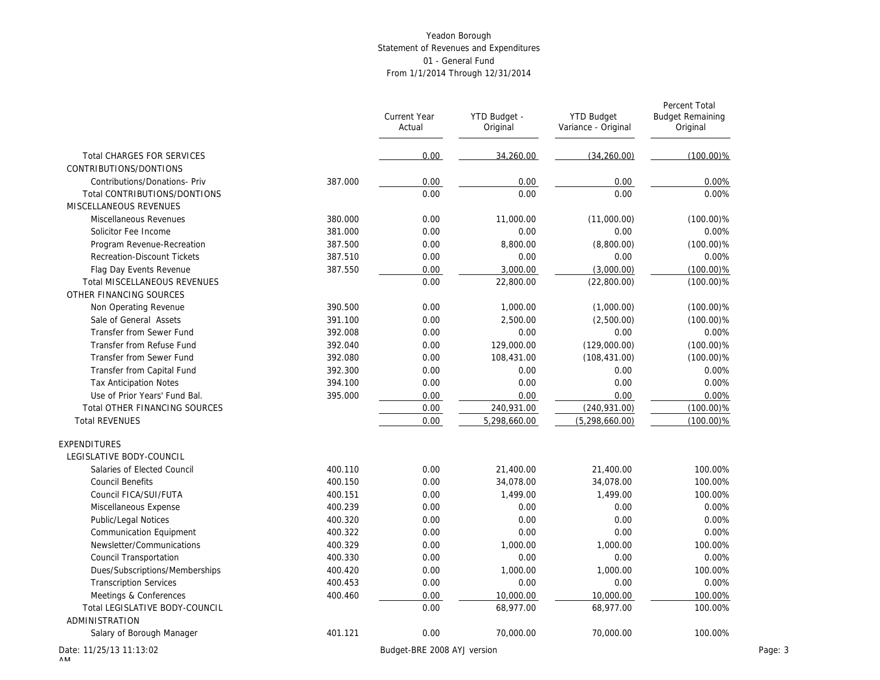|                                      |         | <b>Current Year</b><br>Actual | YTD Budget -<br>Original | <b>YTD Budget</b><br>Variance - Original | Percent Total<br><b>Budget Remaining</b><br>Original |
|--------------------------------------|---------|-------------------------------|--------------------------|------------------------------------------|------------------------------------------------------|
| <b>Total CHARGES FOR SERVICES</b>    |         | 0.00                          | 34.260.00                | (34, 260.00)                             | $(100.00)\%$                                         |
| CONTRIBUTIONS/DONTIONS               |         |                               |                          |                                          |                                                      |
| Contributions/Donations- Priv        | 387.000 | 0.00                          | 0.00                     | 0.00                                     | 0.00%                                                |
| Total CONTRIBUTIONS/DONTIONS         |         | 0.00                          | 0.00                     | 0.00                                     | 0.00%                                                |
| MISCELLANEOUS REVENUES               |         |                               |                          |                                          |                                                      |
| Miscellaneous Revenues               | 380.000 | 0.00                          | 11,000.00                | (11,000.00)                              | $(100.00)\%$                                         |
| Solicitor Fee Income                 | 381.000 | 0.00                          | 0.00                     | 0.00                                     | 0.00%                                                |
| Program Revenue-Recreation           | 387.500 | 0.00                          | 8,800.00                 | (8,800.00)                               | $(100.00)\%$                                         |
| <b>Recreation-Discount Tickets</b>   | 387.510 | 0.00                          | 0.00                     | 0.00                                     | 0.00%                                                |
| Flag Day Events Revenue              | 387.550 | 0.00                          | 3,000.00                 | (3,000.00)                               | $(100.00)\%$                                         |
| Total MISCELLANEOUS REVENUES         |         | 0.00                          | 22,800.00                | (22,800.00)                              | $(100.00)\%$                                         |
| OTHER FINANCING SOURCES              |         |                               |                          |                                          |                                                      |
| Non Operating Revenue                | 390.500 | 0.00                          | 1,000.00                 | (1,000.00)                               | $(100.00)\%$                                         |
| Sale of General Assets               | 391.100 | 0.00                          | 2,500.00                 | (2,500.00)                               | $(100.00)\%$                                         |
| Transfer from Sewer Fund             | 392.008 | 0.00                          | 0.00                     | 0.00                                     | 0.00%                                                |
| Transfer from Refuse Fund            | 392.040 | 0.00                          | 129,000.00               | (129,000.00)                             | $(100.00)\%$                                         |
| Transfer from Sewer Fund             | 392.080 | 0.00                          | 108,431.00               | (108, 431.00)                            | $(100.00)\%$                                         |
| Transfer from Capital Fund           | 392.300 | 0.00                          | 0.00                     | 0.00                                     | 0.00%                                                |
| <b>Tax Anticipation Notes</b>        | 394.100 | 0.00                          | 0.00                     | 0.00                                     | 0.00%                                                |
| Use of Prior Years' Fund Bal.        | 395.000 | 0.00                          | 0.00                     | 0.00                                     | 0.00%                                                |
| <b>Total OTHER FINANCING SOURCES</b> |         | 0.00                          | 240,931.00               | (240, 931.00)                            | $(100.00)\%$                                         |
| <b>Total REVENUES</b>                |         | 0.00                          | 5,298,660.00             | (5, 298, 660.00)                         | $(100.00)\%$                                         |
| EXPENDITURES                         |         |                               |                          |                                          |                                                      |
| LEGISLATIVE BODY-COUNCIL             |         |                               |                          |                                          |                                                      |
| Salaries of Elected Council          | 400.110 | 0.00                          | 21,400.00                | 21,400.00                                | 100.00%                                              |
| <b>Council Benefits</b>              | 400.150 | 0.00                          | 34,078.00                | 34,078.00                                | 100.00%                                              |
| Council FICA/SUI/FUTA                | 400.151 | 0.00                          | 1,499.00                 | 1,499.00                                 | 100.00%                                              |
| Miscellaneous Expense                | 400.239 | 0.00                          | 0.00                     | 0.00                                     | 0.00%                                                |
| Public/Legal Notices                 | 400.320 | 0.00                          | 0.00                     | 0.00                                     | 0.00%                                                |
| <b>Communication Equipment</b>       | 400.322 | 0.00                          | 0.00                     | 0.00                                     | 0.00%                                                |
| Newsletter/Communications            | 400.329 | 0.00                          | 1,000.00                 | 1,000.00                                 | 100.00%                                              |
| Council Transportation               | 400.330 | 0.00                          | 0.00                     | 0.00                                     | 0.00%                                                |
| Dues/Subscriptions/Memberships       | 400.420 | 0.00                          | 1,000.00                 | 1,000.00                                 | 100.00%                                              |
| <b>Transcription Services</b>        | 400.453 | 0.00                          | 0.00                     | 0.00                                     | 0.00%                                                |
| Meetings & Conferences               | 400.460 | 0.00                          | 10,000.00                | 10,000.00                                | 100.00%                                              |
| Total LEGISLATIVE BODY-COUNCIL       |         | 0.00                          | 68,977.00                | 68,977.00                                | 100.00%                                              |
| <b>ADMINISTRATION</b>                |         |                               |                          |                                          |                                                      |
| Salary of Borough Manager            | 401.121 | 0.00                          | 70,000.00                | 70,000.00                                | 100.00%                                              |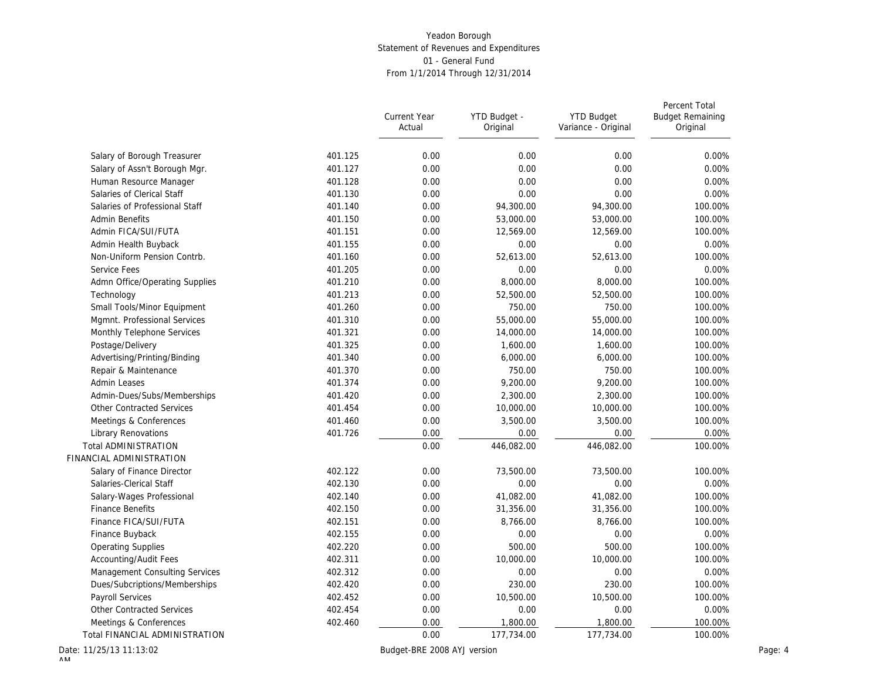|                                  |         | Current Year<br>Actual      | YTD Budget -<br>Original | <b>YTD Budget</b><br>Variance - Original | Percent Total<br><b>Budget Remaining</b><br>Original |
|----------------------------------|---------|-----------------------------|--------------------------|------------------------------------------|------------------------------------------------------|
| Salary of Borough Treasurer      | 401.125 | 0.00                        | 0.00                     | 0.00                                     | 0.00%                                                |
| Salary of Assn't Borough Mgr.    | 401.127 | 0.00                        | 0.00                     | 0.00                                     | 0.00%                                                |
| Human Resource Manager           | 401.128 | 0.00                        | 0.00                     | 0.00                                     | 0.00%                                                |
| Salaries of Clerical Staff       | 401.130 | 0.00                        | 0.00                     | 0.00                                     | 0.00%                                                |
| Salaries of Professional Staff   | 401.140 | 0.00                        | 94,300.00                | 94,300.00                                | 100.00%                                              |
| <b>Admin Benefits</b>            | 401.150 | 0.00                        | 53,000.00                | 53,000.00                                | 100.00%                                              |
| Admin FICA/SUI/FUTA              | 401.151 | 0.00                        | 12,569.00                | 12,569.00                                | 100.00%                                              |
| Admin Health Buyback             | 401.155 | 0.00                        | 0.00                     | 0.00                                     | 0.00%                                                |
| Non-Uniform Pension Contrb.      | 401.160 | 0.00                        | 52,613.00                | 52,613.00                                | 100.00%                                              |
| Service Fees                     | 401.205 | 0.00                        | 0.00                     | 0.00                                     | 0.00%                                                |
| Admn Office/Operating Supplies   | 401.210 | 0.00                        | 8,000.00                 | 8,000.00                                 | 100.00%                                              |
| Technology                       | 401.213 | 0.00                        | 52,500.00                | 52,500.00                                | 100.00%                                              |
| Small Tools/Minor Equipment      | 401.260 | 0.00                        | 750.00                   | 750.00                                   | 100.00%                                              |
| Mgmnt. Professional Services     | 401.310 | 0.00                        | 55,000.00                | 55,000.00                                | 100.00%                                              |
| Monthly Telephone Services       | 401.321 | 0.00                        | 14,000.00                | 14,000.00                                | 100.00%                                              |
| Postage/Delivery                 | 401.325 | 0.00                        | 1,600.00                 | 1,600.00                                 | 100.00%                                              |
| Advertising/Printing/Binding     | 401.340 | 0.00                        | 6,000.00                 | 6,000.00                                 | 100.00%                                              |
| Repair & Maintenance             | 401.370 | 0.00                        | 750.00                   | 750.00                                   | 100.00%                                              |
| Admin Leases                     | 401.374 | 0.00                        | 9,200.00                 | 9,200.00                                 | 100.00%                                              |
| Admin-Dues/Subs/Memberships      | 401.420 | 0.00                        | 2,300.00                 | 2,300.00                                 | 100.00%                                              |
| <b>Other Contracted Services</b> | 401.454 | 0.00                        | 10,000.00                | 10,000.00                                | 100.00%                                              |
| Meetings & Conferences           | 401.460 | 0.00                        | 3,500.00                 | 3,500.00                                 | 100.00%                                              |
| <b>Library Renovations</b>       | 401.726 | 0.00                        | 0.00                     | 0.00                                     | 0.00%                                                |
| <b>Total ADMINISTRATION</b>      |         | 0.00                        | 446,082.00               | 446,082.00                               | 100.00%                                              |
| FINANCIAL ADMINISTRATION         |         |                             |                          |                                          |                                                      |
| Salary of Finance Director       | 402.122 | 0.00                        | 73,500.00                | 73,500.00                                | 100.00%                                              |
| Salaries-Clerical Staff          | 402.130 | 0.00                        | 0.00                     | 0.00                                     | 0.00%                                                |
| Salary-Wages Professional        | 402.140 | 0.00                        | 41,082.00                | 41,082.00                                | 100.00%                                              |
| <b>Finance Benefits</b>          | 402.150 | 0.00                        | 31,356.00                | 31,356.00                                | 100.00%                                              |
| Finance FICA/SUI/FUTA            | 402.151 | 0.00                        | 8,766.00                 | 8,766.00                                 | 100.00%                                              |
| Finance Buyback                  | 402.155 | 0.00                        | 0.00                     | 0.00                                     | 0.00%                                                |
| <b>Operating Supplies</b>        | 402.220 | 0.00                        | 500.00                   | 500.00                                   | 100.00%                                              |
| Accounting/Audit Fees            | 402.311 | 0.00                        | 10,000.00                | 10,000.00                                | 100.00%                                              |
| Management Consulting Services   | 402.312 | 0.00                        | 0.00                     | 0.00                                     | 0.00%                                                |
| Dues/Subcriptions/Memberships    | 402.420 | 0.00                        | 230.00                   | 230.00                                   | 100.00%                                              |
| Payroll Services                 | 402.452 | 0.00                        | 10,500.00                | 10,500.00                                | 100.00%                                              |
| Other Contracted Services        | 402.454 | 0.00                        | 0.00                     | 0.00                                     | 0.00%                                                |
| Meetings & Conferences           | 402.460 | 0.00                        | 1,800.00                 | 1,800.00                                 | 100.00%                                              |
| Total FINANCIAL ADMINISTRATION   |         | 0.00                        | 177,734.00               | 177,734.00                               | 100.00%                                              |
| Date: 11/25/13 11:13:02          |         | Budget-BRE 2008 AYJ version |                          |                                          |                                                      |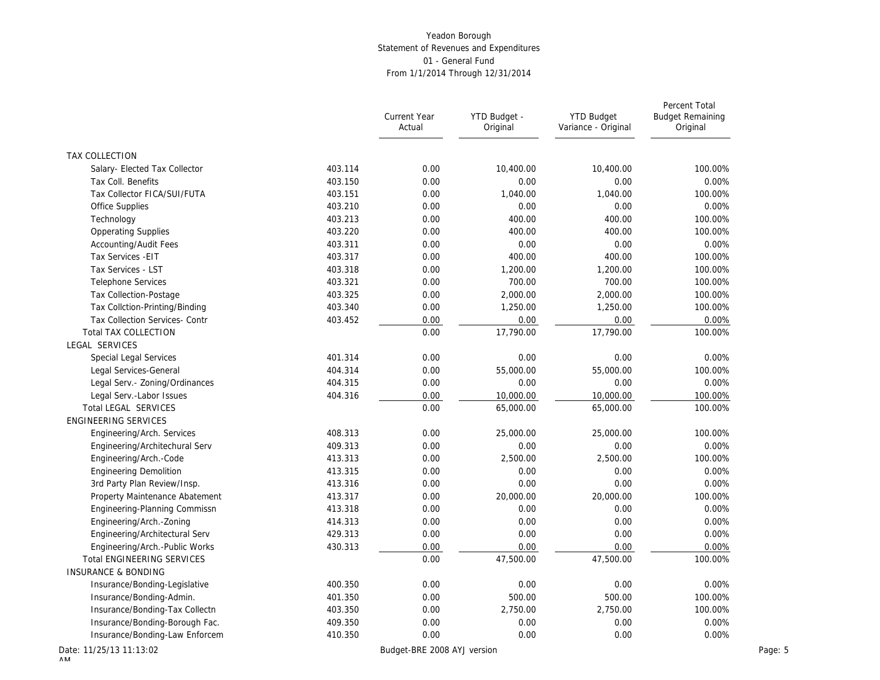|                                   |         | <b>Current Year</b><br>Actual | YTD Budget -<br>Original | <b>YTD Budget</b><br>Variance - Original | Percent Total<br><b>Budget Remaining</b><br>Original |
|-----------------------------------|---------|-------------------------------|--------------------------|------------------------------------------|------------------------------------------------------|
| TAX COLLECTION                    |         |                               |                          |                                          |                                                      |
| Salary- Elected Tax Collector     | 403.114 | 0.00                          | 10,400.00                | 10,400.00                                | 100.00%                                              |
| Tax Coll. Benefits                | 403.150 | 0.00                          | 0.00                     | 0.00                                     | 0.00%                                                |
| Tax Collector FICA/SUI/FUTA       | 403.151 | 0.00                          | 1,040.00                 | 1,040.00                                 | 100.00%                                              |
| Office Supplies                   | 403.210 | 0.00                          | 0.00                     | 0.00                                     | 0.00%                                                |
| Technology                        | 403.213 | 0.00                          | 400.00                   | 400.00                                   | 100.00%                                              |
| <b>Opperating Supplies</b>        | 403.220 | 0.00                          | 400.00                   | 400.00                                   | 100.00%                                              |
| Accounting/Audit Fees             | 403.311 | 0.00                          | 0.00                     | 0.00                                     | 0.00%                                                |
| Tax Services - EIT                | 403.317 | 0.00                          | 400.00                   | 400.00                                   | 100.00%                                              |
| Tax Services - LST                | 403.318 | 0.00                          | 1,200.00                 | 1,200.00                                 | 100.00%                                              |
| Telephone Services                | 403.321 | 0.00                          | 700.00                   | 700.00                                   | 100.00%                                              |
| Tax Collection-Postage            | 403.325 | 0.00                          | 2,000.00                 | 2,000.00                                 | 100.00%                                              |
| Tax Collction-Printing/Binding    | 403.340 | 0.00                          | 1,250.00                 | 1,250.00                                 | 100.00%                                              |
| Tax Collection Services- Contr    | 403.452 | 0.00                          | 0.00                     | 0.00                                     | 0.00%                                                |
| <b>Total TAX COLLECTION</b>       |         | 0.00                          | 17,790.00                | 17,790.00                                | 100.00%                                              |
| LEGAL SERVICES                    |         |                               |                          |                                          |                                                      |
| Special Legal Services            | 401.314 | 0.00                          | 0.00                     | 0.00                                     | 0.00%                                                |
| Legal Services-General            | 404.314 | 0.00                          | 55,000.00                | 55,000.00                                | 100.00%                                              |
| Legal Serv.- Zoning/Ordinances    | 404.315 | 0.00                          | 0.00                     | 0.00                                     | 0.00%                                                |
| Legal Serv.-Labor Issues          | 404.316 | 0.00                          | 10,000.00                | 10,000.00                                | 100.00%                                              |
| Total LEGAL SERVICES              |         | 0.00                          | 65,000.00                | 65,000.00                                | 100.00%                                              |
| <b>ENGINEERING SERVICES</b>       |         |                               |                          |                                          |                                                      |
| Engineering/Arch. Services        | 408.313 | 0.00                          | 25,000.00                | 25,000.00                                | 100.00%                                              |
| Engineering/Architechural Serv    | 409.313 | 0.00                          | 0.00                     | 0.00                                     | 0.00%                                                |
| Engineering/Arch.-Code            | 413.313 | 0.00                          | 2,500.00                 | 2,500.00                                 | 100.00%                                              |
| <b>Engineering Demolition</b>     | 413.315 | 0.00                          | 0.00                     | 0.00                                     | 0.00%                                                |
| 3rd Party Plan Review/Insp.       | 413.316 | 0.00                          | 0.00                     | 0.00                                     | 0.00%                                                |
| Property Maintenance Abatement    | 413.317 | 0.00                          | 20,000.00                | 20,000.00                                | 100.00%                                              |
| Engineering-Planning Commissn     | 413.318 | 0.00                          | 0.00                     | 0.00                                     | 0.00%                                                |
| Engineering/Arch.-Zoning          | 414.313 | 0.00                          | 0.00                     | 0.00                                     | 0.00%                                                |
| Engineering/Architectural Serv    | 429.313 | 0.00                          | 0.00                     | 0.00                                     | 0.00%                                                |
| Engineering/Arch.-Public Works    | 430.313 | 0.00                          | 0.00                     | 0.00                                     | 0.00%                                                |
| <b>Total ENGINEERING SERVICES</b> |         | 0.00                          | 47,500.00                | 47,500.00                                | 100.00%                                              |
| <b>INSURANCE &amp; BONDING</b>    |         |                               |                          |                                          |                                                      |
| Insurance/Bonding-Legislative     | 400.350 | 0.00                          | 0.00                     | 0.00                                     | 0.00%                                                |
| Insurance/Bonding-Admin.          | 401.350 | 0.00                          | 500.00                   | 500.00                                   | 100.00%                                              |
| Insurance/Bonding-Tax Collectn    | 403.350 | 0.00                          | 2,750.00                 | 2,750.00                                 | 100.00%                                              |
| Insurance/Bonding-Borough Fac.    | 409.350 | 0.00                          | 0.00                     | 0.00                                     | 0.00%                                                |
| Insurance/Bonding-Law Enforcem    | 410.350 | 0.00                          | 0.00                     | 0.00                                     | 0.00%                                                |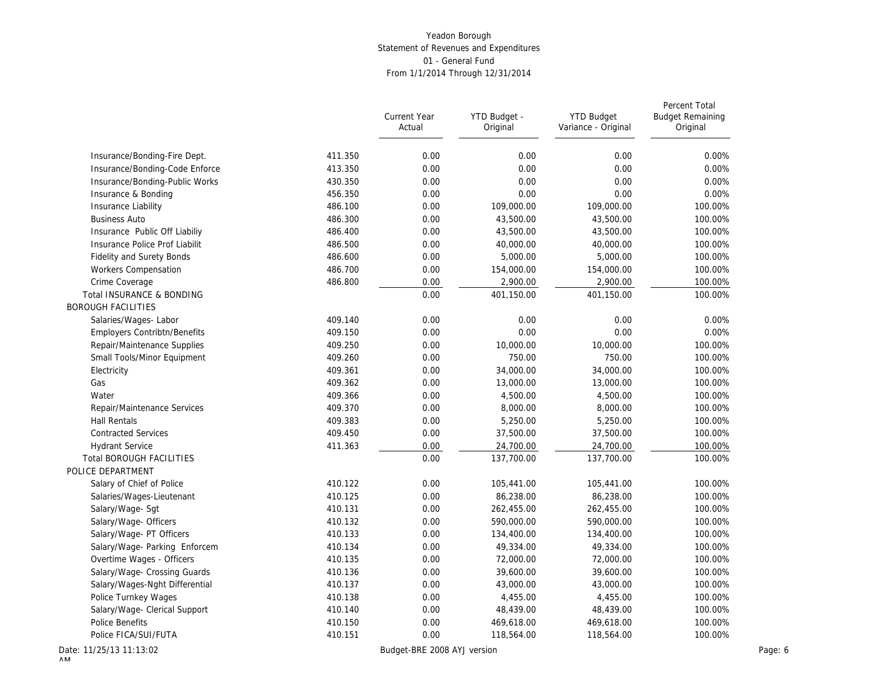|                                                        |         | <b>Current Year</b><br>Actual | YTD Budget -<br>Original | <b>YTD Budget</b><br>Variance - Original | Percent Total<br><b>Budget Remaining</b><br>Original |
|--------------------------------------------------------|---------|-------------------------------|--------------------------|------------------------------------------|------------------------------------------------------|
| Insurance/Bonding-Fire Dept.                           | 411.350 | 0.00                          | 0.00                     | 0.00                                     | 0.00%                                                |
| Insurance/Bonding-Code Enforce                         | 413.350 | 0.00                          | 0.00                     | 0.00                                     | 0.00%                                                |
| Insurance/Bonding-Public Works                         | 430.350 | 0.00                          | 0.00                     | 0.00                                     | 0.00%                                                |
| Insurance & Bonding                                    | 456.350 | 0.00                          | 0.00                     | 0.00                                     | 0.00%                                                |
| Insurance Liability                                    | 486.100 | 0.00                          | 109,000.00               | 109,000.00                               | 100.00%                                              |
| <b>Business Auto</b>                                   | 486.300 | 0.00                          | 43,500.00                | 43,500.00                                | 100.00%                                              |
| Insurance Public Off Liabiliy                          | 486.400 | 0.00                          | 43,500.00                | 43,500.00                                | 100.00%                                              |
| Insurance Police Prof Liabilit                         | 486.500 | 0.00                          | 40,000.00                | 40,000.00                                | 100.00%                                              |
| <b>Fidelity and Surety Bonds</b>                       | 486.600 | 0.00                          | 5,000.00                 | 5,000.00                                 | 100.00%                                              |
| Workers Compensation                                   | 486.700 | 0.00                          | 154,000.00               | 154,000.00                               | 100.00%                                              |
| Crime Coverage                                         | 486.800 | 0.00                          | 2,900.00                 | 2,900.00                                 | 100.00%                                              |
| Total INSURANCE & BONDING<br><b>BOROUGH FACILITIES</b> |         | 0.00                          | 401,150.00               | 401,150.00                               | 100.00%                                              |
| Salaries/Wages-Labor                                   | 409.140 | 0.00                          | 0.00                     | 0.00                                     | 0.00%                                                |
| Employers Contribtn/Benefits                           | 409.150 | 0.00                          | 0.00                     | 0.00                                     | 0.00%                                                |
| Repair/Maintenance Supplies                            | 409.250 | 0.00                          | 10,000.00                | 10,000.00                                | 100.00%                                              |
| Small Tools/Minor Equipment                            | 409.260 | 0.00                          | 750.00                   | 750.00                                   | 100.00%                                              |
| Electricity                                            | 409.361 | 0.00                          | 34,000.00                | 34,000.00                                | 100.00%                                              |
| Gas                                                    | 409.362 | 0.00                          | 13,000.00                | 13,000.00                                | 100.00%                                              |
| Water                                                  | 409.366 | 0.00                          | 4,500.00                 | 4,500.00                                 | 100.00%                                              |
| Repair/Maintenance Services                            | 409.370 | 0.00                          | 8,000.00                 | 8,000.00                                 | 100.00%                                              |
| Hall Rentals                                           | 409.383 | 0.00                          | 5,250.00                 | 5,250.00                                 | 100.00%                                              |
| <b>Contracted Services</b>                             | 409.450 | 0.00                          | 37,500.00                | 37,500.00                                | 100.00%                                              |
| <b>Hydrant Service</b>                                 | 411.363 | 0.00                          | 24,700.00                | 24,700.00                                | 100.00%                                              |
| <b>Total BOROUGH FACILITIES</b>                        |         | 0.00                          | 137,700.00               | 137,700.00                               | 100.00%                                              |
| POLICE DEPARTMENT                                      |         |                               |                          |                                          |                                                      |
| Salary of Chief of Police                              | 410.122 | 0.00                          | 105,441.00               | 105,441.00                               | 100.00%                                              |
| Salaries/Wages-Lieutenant                              | 410.125 | 0.00                          | 86,238.00                | 86,238.00                                | 100.00%                                              |
| Salary/Wage-Sgt                                        | 410.131 | 0.00                          | 262,455.00               | 262,455.00                               | 100.00%                                              |
| Salary/Wage- Officers                                  | 410.132 | 0.00                          | 590,000.00               | 590,000.00                               | 100.00%                                              |
| Salary/Wage- PT Officers                               | 410.133 | 0.00                          | 134,400.00               | 134,400.00                               | 100.00%                                              |
| Salary/Wage- Parking Enforcem                          | 410.134 | 0.00                          | 49,334.00                | 49,334.00                                | 100.00%                                              |
| Overtime Wages - Officers                              | 410.135 | 0.00                          | 72,000.00                | 72,000.00                                | 100.00%                                              |
| Salary/Wage- Crossing Guards                           | 410.136 | 0.00                          | 39,600.00                | 39,600.00                                | 100.00%                                              |
| Salary/Wages-Nght Differential                         | 410.137 | 0.00                          | 43,000.00                | 43,000.00                                | 100.00%                                              |
| Police Turnkey Wages                                   | 410.138 | 0.00                          | 4,455.00                 | 4,455.00                                 | 100.00%                                              |
| Salary/Wage- Clerical Support                          | 410.140 | 0.00                          | 48,439.00                | 48,439.00                                | 100.00%                                              |
| Police Benefits                                        | 410.150 | 0.00                          | 469,618.00               | 469,618.00                               | 100.00%                                              |
| Police FICA/SUI/FUTA                                   | 410.151 | 0.00                          | 118,564.00               | 118,564.00                               | 100.00%                                              |
| ate: 11/25/13 11:13:02                                 |         | Budget-BRE 2008 AYJ version   |                          |                                          | Page: 6                                              |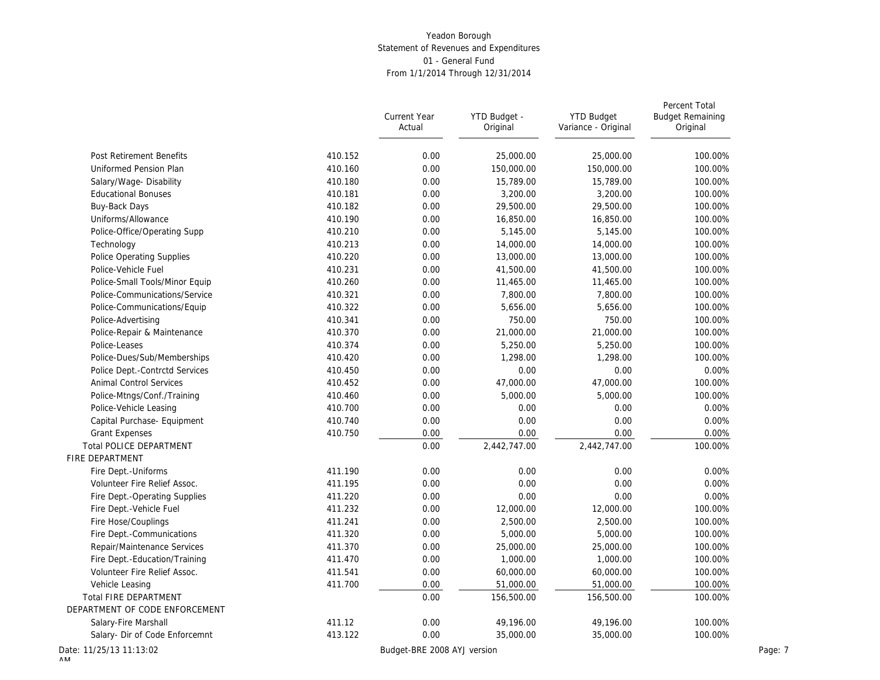|                                                   |         | Current Year<br>Actual      | YTD Budget -<br>Original | <b>YTD Budget</b><br>Variance - Original | Percent Total<br><b>Budget Remaining</b><br>Original |
|---------------------------------------------------|---------|-----------------------------|--------------------------|------------------------------------------|------------------------------------------------------|
| Post Retirement Benefits                          | 410.152 | 0.00                        | 25,000.00                | 25,000.00                                | 100.00%                                              |
| Uniformed Pension Plan                            | 410.160 | 0.00                        | 150,000.00               | 150,000.00                               | 100.00%                                              |
| Salary/Wage-Disability                            | 410.180 | 0.00                        | 15,789.00                | 15,789.00                                | 100.00%                                              |
| <b>Educational Bonuses</b>                        | 410.181 | 0.00                        | 3,200.00                 | 3,200.00                                 | 100.00%                                              |
| Buy-Back Days                                     | 410.182 | 0.00                        | 29,500.00                | 29,500.00                                | 100.00%                                              |
| Uniforms/Allowance                                | 410.190 | 0.00                        | 16,850.00                | 16,850.00                                | 100.00%                                              |
| Police-Office/Operating Supp                      | 410.210 | 0.00                        | 5,145.00                 | 5,145.00                                 | 100.00%                                              |
| Technology                                        | 410.213 | 0.00                        | 14,000.00                | 14,000.00                                | 100.00%                                              |
| <b>Police Operating Supplies</b>                  | 410.220 | 0.00                        | 13,000.00                | 13,000.00                                | 100.00%                                              |
| Police-Vehicle Fuel                               | 410.231 | 0.00                        | 41,500.00                | 41,500.00                                | 100.00%                                              |
| Police-Small Tools/Minor Equip                    | 410.260 | 0.00                        | 11,465.00                | 11,465.00                                | 100.00%                                              |
| Police-Communications/Service                     | 410.321 | 0.00                        | 7,800.00                 | 7,800.00                                 | 100.00%                                              |
| Police-Communications/Equip                       | 410.322 | 0.00                        | 5,656.00                 | 5,656.00                                 | 100.00%                                              |
| Police-Advertising                                | 410.341 | 0.00                        | 750.00                   | 750.00                                   | 100.00%                                              |
| Police-Repair & Maintenance                       | 410.370 | 0.00                        | 21,000.00                | 21,000.00                                | 100.00%                                              |
| Police-Leases                                     | 410.374 | 0.00                        | 5,250.00                 | 5,250.00                                 | 100.00%                                              |
| Police-Dues/Sub/Memberships                       | 410.420 | 0.00                        | 1,298.00                 | 1,298.00                                 | 100.00%                                              |
| Police Dept.-Contrctd Services                    | 410.450 | 0.00                        | 0.00                     | 0.00                                     | 0.00%                                                |
| <b>Animal Control Services</b>                    | 410.452 | 0.00                        | 47,000.00                | 47,000.00                                | 100.00%                                              |
|                                                   |         |                             |                          |                                          |                                                      |
| Police-Mtngs/Conf./Training                       | 410.460 | 0.00                        | 5,000.00                 | 5,000.00                                 | 100.00%                                              |
| Police-Vehicle Leasing                            | 410.700 | 0.00                        | 0.00                     | 0.00                                     | 0.00%                                                |
| Capital Purchase- Equipment                       | 410.740 | 0.00                        | 0.00                     | 0.00                                     | 0.00%                                                |
| <b>Grant Expenses</b>                             | 410.750 | 0.00                        | 0.00                     | 0.00                                     | 0.00%                                                |
| <b>Total POLICE DEPARTMENT</b><br>FIRE DEPARTMENT |         | 0.00                        | 2,442,747.00             | 2,442,747.00                             | 100.00%                                              |
|                                                   |         |                             |                          |                                          |                                                      |
| Fire Dept.-Uniforms                               | 411.190 | 0.00                        | 0.00                     | 0.00                                     | 0.00%                                                |
| Volunteer Fire Relief Assoc.                      | 411.195 | 0.00                        | 0.00                     | 0.00                                     | 0.00%                                                |
| Fire Dept.-Operating Supplies                     | 411.220 | 0.00                        | 0.00                     | 0.00                                     | 0.00%                                                |
| Fire Dept.-Vehicle Fuel                           | 411.232 | 0.00                        | 12,000.00                | 12,000.00                                | 100.00%                                              |
| Fire Hose/Couplings                               | 411.241 | 0.00                        | 2,500.00                 | 2,500.00                                 | 100.00%                                              |
| Fire Dept.-Communications                         | 411.320 | 0.00                        | 5,000.00                 | 5,000.00                                 | 100.00%                                              |
| Repair/Maintenance Services                       | 411.370 | 0.00                        | 25,000.00                | 25,000.00                                | 100.00%                                              |
| Fire Dept.-Education/Training                     | 411.470 | 0.00                        | 1,000.00                 | 1,000.00                                 | 100.00%                                              |
| Volunteer Fire Relief Assoc.                      | 411.541 | 0.00                        | 60,000.00                | 60,000.00                                | 100.00%                                              |
| Vehicle Leasing                                   | 411.700 | 0.00                        | 51,000.00                | 51,000.00                                | 100.00%                                              |
| Total FIRE DEPARTMENT                             |         | 0.00                        | 156,500.00               | 156,500.00                               | 100.00%                                              |
| DEPARTMENT OF CODE ENFORCEMENT                    |         |                             |                          |                                          |                                                      |
| Salary-Fire Marshall                              | 411.12  | 0.00                        | 49,196.00                | 49,196.00                                | 100.00%                                              |
| Salary- Dir of Code Enforcemnt                    | 413.122 | 0.00                        | 35,000.00                | 35,000.00                                | 100.00%                                              |
| Date: 11/25/13 11:13:02                           |         | Budget-BRE 2008 AYJ version |                          |                                          |                                                      |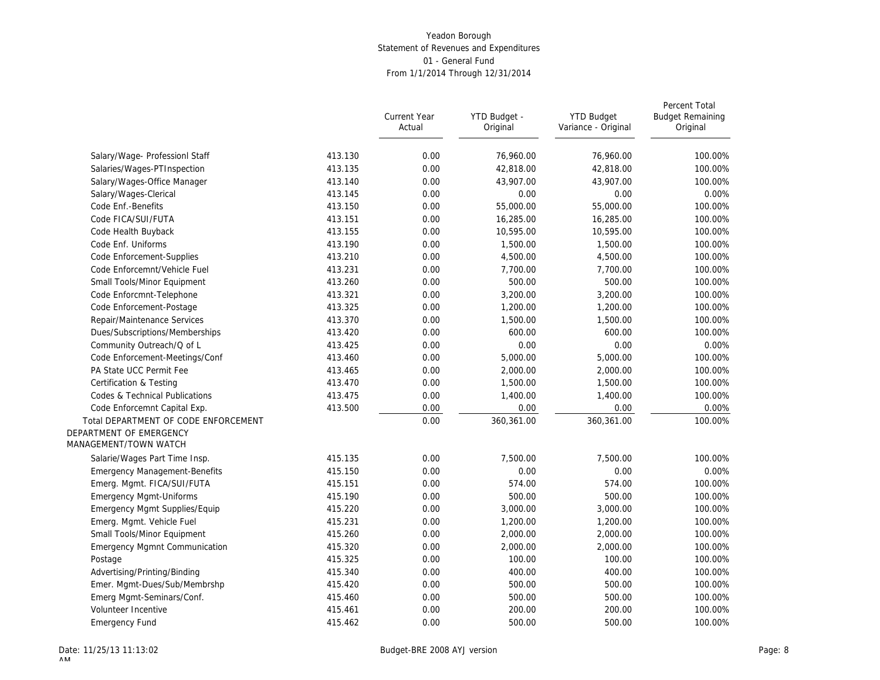|                                                  |         | Current Year<br>Actual | YTD Budget -<br>Original | <b>YTD Budget</b><br>Variance - Original | Percent Total<br><b>Budget Remaining</b><br>Original |
|--------------------------------------------------|---------|------------------------|--------------------------|------------------------------------------|------------------------------------------------------|
| Salary/Wage- Professionl Staff                   | 413.130 | 0.00                   | 76,960.00                | 76,960.00                                | 100.00%                                              |
| Salaries/Wages-PTInspection                      | 413.135 | 0.00                   | 42,818.00                | 42,818.00                                | 100.00%                                              |
| Salary/Wages-Office Manager                      | 413.140 | 0.00                   | 43,907.00                | 43,907.00                                | 100.00%                                              |
| Salary/Wages-Clerical                            | 413.145 | 0.00                   | 0.00                     | 0.00                                     | 0.00%                                                |
| Code Enf.-Benefits                               | 413.150 | 0.00                   | 55,000.00                | 55,000.00                                | 100.00%                                              |
| Code FICA/SUI/FUTA                               | 413.151 | 0.00                   | 16,285.00                | 16,285.00                                | 100.00%                                              |
| Code Health Buyback                              | 413.155 | 0.00                   | 10,595.00                | 10,595.00                                | 100.00%                                              |
| Code Enf. Uniforms                               | 413.190 | 0.00                   | 1,500.00                 | 1,500.00                                 | 100.00%                                              |
| Code Enforcement-Supplies                        | 413.210 | 0.00                   | 4,500.00                 | 4,500.00                                 | 100.00%                                              |
| Code Enforcemnt/Vehicle Fuel                     | 413.231 | 0.00                   | 7,700.00                 | 7,700.00                                 | 100.00%                                              |
| Small Tools/Minor Equipment                      | 413.260 | 0.00                   | 500.00                   | 500.00                                   | 100.00%                                              |
| Code Enforcmnt-Telephone                         | 413.321 | 0.00                   | 3,200.00                 | 3,200.00                                 | 100.00%                                              |
| Code Enforcement-Postage                         | 413.325 | 0.00                   | 1,200.00                 | 1,200.00                                 | 100.00%                                              |
| Repair/Maintenance Services                      | 413.370 | 0.00                   | 1,500.00                 | 1,500.00                                 | 100.00%                                              |
| Dues/Subscriptions/Memberships                   | 413.420 | 0.00                   | 600.00                   | 600.00                                   | 100.00%                                              |
| Community Outreach/Q of L                        | 413.425 | 0.00                   | 0.00                     | 0.00                                     | 0.00%                                                |
| Code Enforcement-Meetings/Conf                   | 413.460 | 0.00                   | 5,000.00                 | 5,000.00                                 | 100.00%                                              |
| PA State UCC Permit Fee                          | 413.465 | 0.00                   | 2,000.00                 | 2,000.00                                 | 100.00%                                              |
| Certification & Testing                          | 413.470 | 0.00                   | 1,500.00                 | 1,500.00                                 | 100.00%                                              |
| Codes & Technical Publications                   | 413.475 | 0.00                   | 1,400.00                 | 1,400.00                                 | 100.00%                                              |
| Code Enforcemnt Capital Exp.                     | 413.500 | 0.00                   | 0.00                     | 0.00                                     | 0.00%                                                |
| Total DEPARTMENT OF CODE ENFORCEMENT             |         | 0.00                   | 360,361.00               | 360,361.00                               | 100.00%                                              |
| DEPARTMENT OF EMERGENCY<br>MANAGEMENT/TOWN WATCH |         |                        |                          |                                          |                                                      |
| Salarie/Wages Part Time Insp.                    | 415.135 | 0.00                   | 7.500.00                 | 7,500.00                                 | 100.00%                                              |
| <b>Emergency Management-Benefits</b>             | 415.150 | 0.00                   | 0.00                     | 0.00                                     | 0.00%                                                |
| Emerg. Mgmt. FICA/SUI/FUTA                       | 415.151 | 0.00                   | 574.00                   | 574.00                                   | 100.00%                                              |
| <b>Emergency Mgmt-Uniforms</b>                   | 415.190 | 0.00                   | 500.00                   | 500.00                                   | 100.00%                                              |
| Emergency Mgmt Supplies/Equip                    | 415.220 | 0.00                   | 3,000.00                 | 3,000.00                                 | 100.00%                                              |
| Emerg. Mgmt. Vehicle Fuel                        | 415.231 | 0.00                   | 1,200.00                 | 1,200.00                                 | 100.00%                                              |
| Small Tools/Minor Equipment                      | 415.260 | 0.00                   | 2,000.00                 | 2,000.00                                 | 100.00%                                              |
| <b>Emergency Mgmnt Communication</b>             | 415.320 | 0.00                   | 2,000.00                 | 2,000.00                                 | 100.00%                                              |
| Postage                                          | 415.325 | 0.00                   | 100.00                   | 100.00                                   | 100.00%                                              |
| Advertising/Printing/Binding                     | 415.340 | 0.00                   | 400.00                   | 400.00                                   | 100.00%                                              |
| Emer. Mgmt-Dues/Sub/Membrshp                     | 415.420 | 0.00                   | 500.00                   | 500.00                                   | 100.00%                                              |
| Emerg Mgmt-Seminars/Conf.                        | 415.460 | 0.00                   | 500.00                   | 500.00                                   | 100.00%                                              |
| Volunteer Incentive                              | 415.461 | 0.00                   | 200.00                   | 200.00                                   | 100.00%                                              |
| <b>Emergency Fund</b>                            | 415.462 | 0.00                   | 500.00                   | 500.00                                   | 100.00%                                              |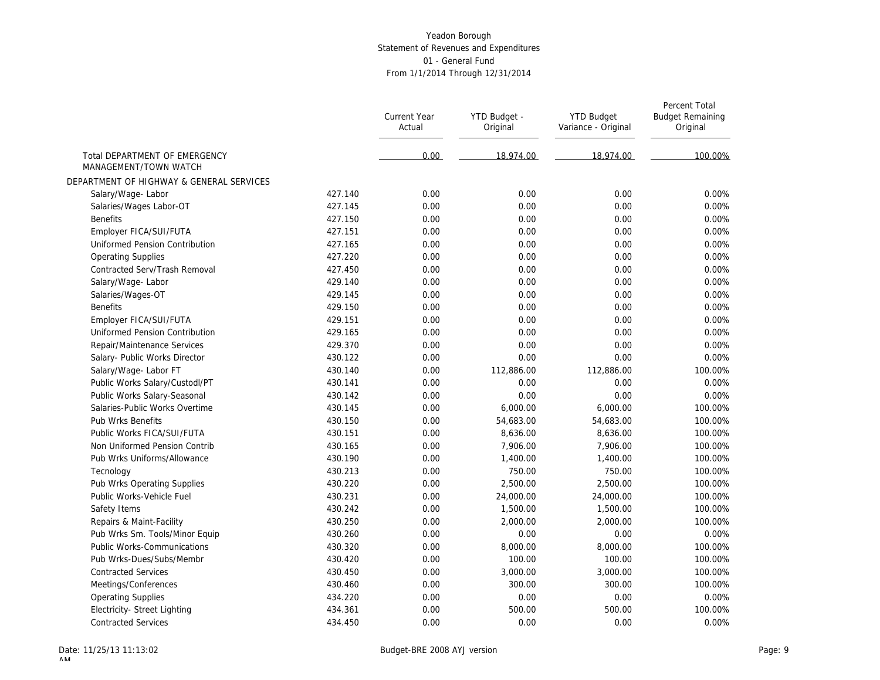|                                                        |         | Current Year<br>Actual | YTD Budget -<br>Original | <b>YTD Budget</b><br>Variance - Original | Percent Total<br><b>Budget Remaining</b><br>Original |
|--------------------------------------------------------|---------|------------------------|--------------------------|------------------------------------------|------------------------------------------------------|
| Total DEPARTMENT OF EMERGENCY<br>MANAGEMENT/TOWN WATCH |         | 0.00                   | 18.974.00                | 18.974.00                                | 100.00%                                              |
| DEPARTMENT OF HIGHWAY & GENERAL SERVICES               |         |                        |                          |                                          |                                                      |
| Salary/Wage-Labor                                      | 427.140 | 0.00                   | 0.00                     | 0.00                                     | 0.00%                                                |
| Salaries/Wages Labor-OT                                | 427.145 | 0.00                   | 0.00                     | 0.00                                     | 0.00%                                                |
| <b>Benefits</b>                                        | 427.150 | 0.00                   | 0.00                     | 0.00                                     | 0.00%                                                |
| Employer FICA/SUI/FUTA                                 | 427.151 | 0.00                   | 0.00                     | 0.00                                     | 0.00%                                                |
| Uniformed Pension Contribution                         | 427.165 | 0.00                   | 0.00                     | 0.00                                     | 0.00%                                                |
| <b>Operating Supplies</b>                              | 427.220 | 0.00                   | 0.00                     | 0.00                                     | 0.00%                                                |
| Contracted Serv/Trash Removal                          | 427.450 | 0.00                   | 0.00                     | 0.00                                     | 0.00%                                                |
| Salary/Wage-Labor                                      | 429.140 | 0.00                   | 0.00                     | 0.00                                     | 0.00%                                                |
| Salaries/Wages-OT                                      | 429.145 | 0.00                   | 0.00                     | 0.00                                     | 0.00%                                                |
| <b>Benefits</b>                                        | 429.150 | 0.00                   | 0.00                     | 0.00                                     | 0.00%                                                |
| Employer FICA/SUI/FUTA                                 | 429.151 | 0.00                   | 0.00                     | 0.00                                     | 0.00%                                                |
| Uniformed Pension Contribution                         | 429.165 | 0.00                   | 0.00                     | 0.00                                     | 0.00%                                                |
| Repair/Maintenance Services                            | 429.370 | 0.00                   | 0.00                     | 0.00                                     | 0.00%                                                |
| Salary- Public Works Director                          | 430.122 | 0.00                   | 0.00                     | 0.00                                     | 0.00%                                                |
| Salary/Wage- Labor FT                                  | 430.140 | 0.00                   | 112,886.00               | 112,886.00                               | 100.00%                                              |
| Public Works Salary/Custodl/PT                         | 430.141 | 0.00                   | 0.00                     | 0.00                                     | 0.00%                                                |
| Public Works Salary-Seasonal                           | 430.142 | 0.00                   | 0.00                     | 0.00                                     | 0.00%                                                |
| Salaries-Public Works Overtime                         | 430.145 | 0.00                   | 6,000.00                 | 6,000.00                                 | 100.00%                                              |
| Pub Wrks Benefits                                      | 430.150 | 0.00                   | 54,683.00                | 54,683.00                                | 100.00%                                              |
| Public Works FICA/SUI/FUTA                             | 430.151 | 0.00                   | 8.636.00                 | 8,636.00                                 | 100.00%                                              |
| Non Uniformed Pension Contrib                          | 430.165 | 0.00                   | 7,906.00                 | 7,906.00                                 | 100.00%                                              |
| Pub Wrks Uniforms/Allowance                            | 430.190 | 0.00                   | 1,400.00                 | 1,400.00                                 | 100.00%                                              |
| Tecnology                                              | 430.213 | 0.00                   | 750.00                   | 750.00                                   | 100.00%                                              |
| Pub Wrks Operating Supplies                            | 430.220 | 0.00                   | 2,500.00                 | 2,500.00                                 | 100.00%                                              |
| Public Works-Vehicle Fuel                              | 430.231 | 0.00                   | 24,000.00                | 24,000.00                                | 100.00%                                              |
| Safety Items                                           | 430.242 | 0.00                   | 1,500.00                 | 1,500.00                                 | 100.00%                                              |
| Repairs & Maint-Facility                               | 430.250 | 0.00                   | 2,000.00                 | 2,000.00                                 | 100.00%                                              |
| Pub Wrks Sm. Tools/Minor Equip                         | 430.260 | 0.00                   | 0.00                     | 0.00                                     | 0.00%                                                |
| <b>Public Works-Communications</b>                     | 430.320 | 0.00                   | 8,000.00                 | 8,000.00                                 | 100.00%                                              |
| Pub Wrks-Dues/Subs/Membr                               | 430.420 | 0.00                   | 100.00                   | 100.00                                   | 100.00%                                              |
| <b>Contracted Services</b>                             | 430.450 | 0.00                   | 3,000.00                 | 3,000.00                                 | 100.00%                                              |
| Meetings/Conferences                                   | 430.460 | 0.00                   | 300.00                   | 300.00                                   | 100.00%                                              |
| <b>Operating Supplies</b>                              | 434.220 | 0.00                   | 0.00                     | 0.00                                     | 0.00%                                                |
| Electricity- Street Lighting                           | 434.361 | 0.00                   | 500.00                   | 500.00                                   | 100.00%                                              |
| <b>Contracted Services</b>                             | 434.450 | 0.00                   | 0.00                     | 0.00                                     | 0.00%                                                |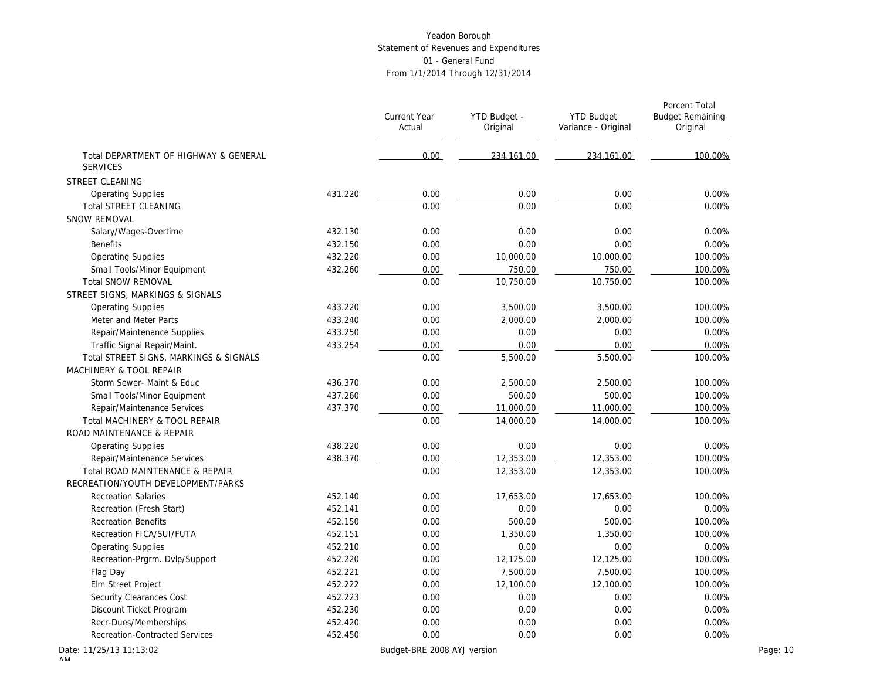|                                                          |         | Current Year<br>Actual      | YTD Budget -<br>Original | <b>YTD Budget</b><br>Variance - Original | Percent Total<br><b>Budget Remaining</b><br>Original |
|----------------------------------------------------------|---------|-----------------------------|--------------------------|------------------------------------------|------------------------------------------------------|
| Total DEPARTMENT OF HIGHWAY & GENERAL<br><b>SERVICES</b> |         | 0.00                        | 234,161.00               | 234,161.00                               | 100.00%                                              |
| STREET CLEANING                                          |         |                             |                          |                                          |                                                      |
| <b>Operating Supplies</b>                                | 431.220 | 0.00                        | 0.00                     | 0.00                                     | 0.00%                                                |
| Total STREET CLEANING                                    |         | 0.00                        | 0.00                     | 0.00                                     | 0.00%                                                |
| <b>SNOW REMOVAL</b>                                      |         |                             |                          |                                          |                                                      |
| Salary/Wages-Overtime                                    | 432.130 | 0.00                        | 0.00                     | 0.00                                     | 0.00%                                                |
| <b>Benefits</b>                                          | 432.150 | 0.00                        | 0.00                     | 0.00                                     | 0.00%                                                |
| <b>Operating Supplies</b>                                | 432.220 | 0.00                        | 10,000.00                | 10,000.00                                | 100.00%                                              |
| Small Tools/Minor Equipment                              | 432.260 | 0.00                        | 750.00                   | 750.00                                   | 100.00%                                              |
| <b>Total SNOW REMOVAL</b>                                |         | 0.00                        | 10,750.00                | 10,750.00                                | 100.00%                                              |
| STREET SIGNS, MARKINGS & SIGNALS                         |         |                             |                          |                                          |                                                      |
| <b>Operating Supplies</b>                                | 433.220 | 0.00                        | 3,500.00                 | 3,500.00                                 | 100.00%                                              |
| Meter and Meter Parts                                    | 433.240 | 0.00                        | 2,000.00                 | 2,000.00                                 | 100.00%                                              |
| Repair/Maintenance Supplies                              | 433.250 | 0.00                        | 0.00                     | 0.00                                     | 0.00%                                                |
| Traffic Signal Repair/Maint.                             | 433.254 | 0.00                        | 0.00                     | 0.00                                     | 0.00%                                                |
| Total STREET SIGNS, MARKINGS & SIGNALS                   |         | 0.00                        | 5,500.00                 | 5,500.00                                 | 100.00%                                              |
| MACHINERY & TOOL REPAIR                                  |         |                             |                          |                                          |                                                      |
| Storm Sewer- Maint & Educ                                | 436.370 | 0.00                        | 2,500.00                 | 2,500.00                                 | 100.00%                                              |
| Small Tools/Minor Equipment                              | 437.260 | 0.00                        | 500.00                   | 500.00                                   | 100.00%                                              |
| Repair/Maintenance Services                              | 437.370 | 0.00                        | 11,000.00                | 11,000.00                                | 100.00%                                              |
| Total MACHINERY & TOOL REPAIR                            |         | 0.00                        | 14,000.00                | 14,000.00                                | 100.00%                                              |
| ROAD MAINTENANCE & REPAIR                                |         |                             |                          |                                          |                                                      |
| <b>Operating Supplies</b>                                | 438.220 | 0.00                        | 0.00                     | 0.00                                     | 0.00%                                                |
| Repair/Maintenance Services                              | 438.370 | 0.00                        | 12,353.00                | 12,353.00                                | 100.00%                                              |
| Total ROAD MAINTENANCE & REPAIR                          |         | 0.00                        | 12,353.00                | 12,353.00                                | 100.00%                                              |
| RECREATION/YOUTH DEVELOPMENT/PARKS                       |         |                             |                          |                                          |                                                      |
| <b>Recreation Salaries</b>                               | 452.140 | 0.00                        | 17,653.00                | 17,653.00                                | 100.00%                                              |
| Recreation (Fresh Start)                                 | 452.141 | 0.00                        | 0.00                     | 0.00                                     | 0.00%                                                |
| <b>Recreation Benefits</b>                               | 452.150 | 0.00                        | 500.00                   | 500.00                                   | 100.00%                                              |
| Recreation FICA/SUI/FUTA                                 | 452.151 | 0.00                        | 1,350.00                 | 1,350.00                                 | 100.00%                                              |
| <b>Operating Supplies</b>                                | 452.210 | 0.00                        | 0.00                     | 0.00                                     | 0.00%                                                |
| Recreation-Prgrm. Dvlp/Support                           | 452.220 | 0.00                        | 12,125.00                | 12,125.00                                | 100.00%                                              |
| Flag Day                                                 | 452.221 | 0.00                        | 7,500.00                 | 7,500.00                                 | 100.00%                                              |
| Elm Street Project                                       | 452.222 | 0.00                        | 12,100.00                | 12,100.00                                | 100.00%                                              |
| Security Clearances Cost                                 | 452.223 | 0.00                        | 0.00                     | 0.00                                     | 0.00%                                                |
| Discount Ticket Program                                  | 452.230 | 0.00                        | 0.00                     | 0.00                                     | 0.00%                                                |
| Recr-Dues/Memberships                                    | 452.420 | 0.00                        | 0.00                     | 0.00                                     | 0.00%                                                |
| <b>Recreation-Contracted Services</b>                    | 452.450 | 0.00                        | 0.00                     | 0.00                                     | 0.00%                                                |
| ate: 11/25/13 11:13:02                                   |         | Budget-BRE 2008 AYJ version |                          |                                          | Page: 10                                             |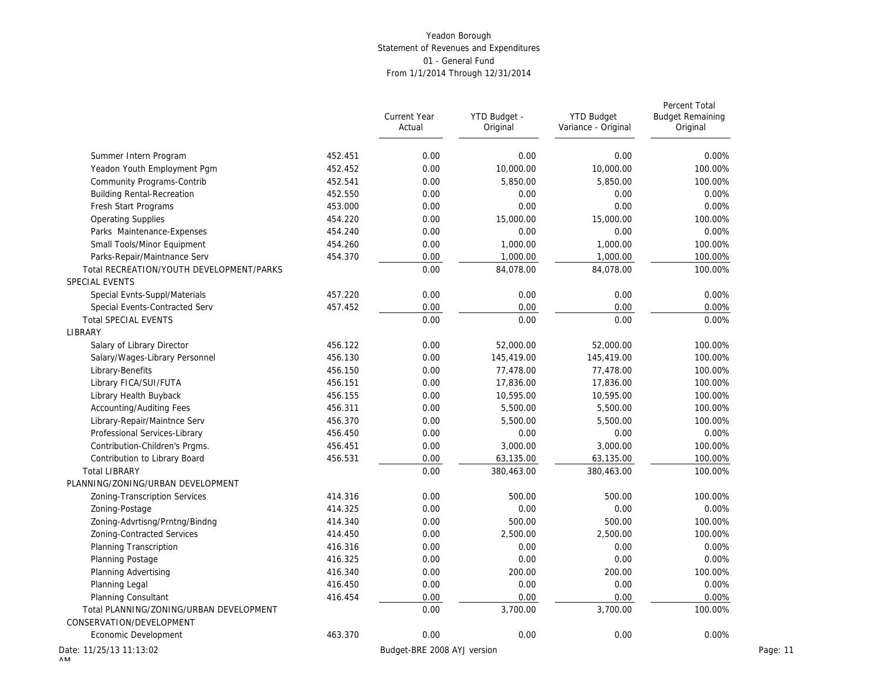|                                                            |         | Current Year<br>Actual      | YTD Budget -<br>Original | <b>YTD Budget</b><br>Variance - Original | Percent Total<br><b>Budget Remaining</b><br>Original |
|------------------------------------------------------------|---------|-----------------------------|--------------------------|------------------------------------------|------------------------------------------------------|
| Summer Intern Program                                      | 452.451 | 0.00                        | 0.00                     | 0.00                                     | 0.00%                                                |
| Yeadon Youth Employment Pgm                                | 452.452 | 0.00                        | 10,000.00                | 10,000.00                                | 100.00%                                              |
| Community Programs-Contrib                                 | 452.541 | 0.00                        | 5,850.00                 | 5,850.00                                 | 100.00%                                              |
| <b>Building Rental-Recreation</b>                          | 452.550 | 0.00                        | 0.00                     | 0.00                                     | 0.00%                                                |
| Fresh Start Programs                                       | 453.000 | 0.00                        | 0.00                     | 0.00                                     | 0.00%                                                |
| <b>Operating Supplies</b>                                  | 454.220 | 0.00                        | 15,000.00                | 15,000.00                                | 100.00%                                              |
| Parks Maintenance-Expenses                                 | 454.240 | 0.00                        | 0.00                     | 0.00                                     | 0.00%                                                |
|                                                            | 454.260 |                             |                          |                                          |                                                      |
| Small Tools/Minor Equipment                                |         | 0.00                        | 1,000.00                 | 1,000.00                                 | 100.00%                                              |
| Parks-Repair/Maintnance Serv                               | 454.370 | 0.00                        | 1,000.00                 | 1,000.00                                 | 100.00%                                              |
| Total RECREATION/YOUTH DEVELOPMENT/PARKS<br>SPECIAL EVENTS |         | 0.00                        | 84,078.00                | 84,078.00                                | 100.00%                                              |
| Special Evnts-Suppl/Materials                              | 457.220 | 0.00                        | 0.00                     | 0.00                                     | 0.00%                                                |
| Special Events-Contracted Serv                             | 457.452 | 0.00                        | 0.00                     | 0.00                                     | 0.00%                                                |
| <b>Total SPECIAL EVENTS</b>                                |         | 0.00                        | 0.00                     | 0.00                                     | 0.00%                                                |
| LIBRARY                                                    |         |                             |                          |                                          |                                                      |
| Salary of Library Director                                 | 456.122 | 0.00                        | 52,000.00                | 52,000.00                                | 100.00%                                              |
| Salary/Wages-Library Personnel                             | 456.130 | 0.00                        | 145,419.00               | 145,419.00                               | 100.00%                                              |
| Library-Benefits                                           | 456.150 | 0.00                        | 77,478.00                | 77,478.00                                | 100.00%                                              |
| Library FICA/SUI/FUTA                                      | 456.151 | 0.00                        | 17,836.00                | 17,836.00                                | 100.00%                                              |
| Library Health Buyback                                     | 456.155 | 0.00                        | 10,595.00                | 10,595.00                                | 100.00%                                              |
| <b>Accounting/Auditing Fees</b>                            | 456.311 | 0.00                        | 5,500.00                 | 5,500.00                                 | 100.00%                                              |
| Library-Repair/Maintnce Serv                               | 456.370 | 0.00                        | 5,500.00                 | 5,500.00                                 | 100.00%                                              |
| Professional Services-Library                              | 456.450 | 0.00                        | 0.00                     | 0.00                                     | 0.00%                                                |
| Contribution-Children's Prams.                             | 456.451 | 0.00                        | 3,000.00                 | 3,000.00                                 | 100.00%                                              |
| Contribution to Library Board                              | 456.531 | 0.00                        | 63,135.00                | 63,135.00                                | 100.00%                                              |
| <b>Total LIBRARY</b>                                       |         | 0.00                        | 380,463.00               | 380,463.00                               | 100.00%                                              |
| PLANNING/ZONING/URBAN DEVELOPMENT                          |         |                             |                          |                                          |                                                      |
| Zoning-Transcription Services                              | 414.316 | 0.00                        | 500.00                   | 500.00                                   | 100.00%                                              |
| Zoning-Postage                                             | 414.325 | 0.00                        | 0.00                     | 0.00                                     | 0.00%                                                |
| Zoning-Advrtisng/Prntng/Bindng                             | 414.340 | 0.00                        | 500.00                   | 500.00                                   | 100.00%                                              |
| Zoning-Contracted Services                                 | 414.450 | 0.00                        | 2,500.00                 | 2,500.00                                 | 100.00%                                              |
| Planning Transcription                                     | 416.316 | 0.00                        | 0.00                     | 0.00                                     | 0.00%                                                |
| Planning Postage                                           | 416.325 | 0.00                        | 0.00                     | 0.00                                     | 0.00%                                                |
| Planning Advertising                                       | 416.340 | 0.00                        | 200.00                   | 200.00                                   | 100.00%                                              |
| Planning Legal                                             | 416.450 | 0.00                        | 0.00                     | 0.00                                     | 0.00%                                                |
| <b>Planning Consultant</b>                                 | 416.454 | 0.00                        | 0.00                     | 0.00                                     | 0.00%                                                |
| Total PLANNING/ZONING/URBAN DEVELOPMENT                    |         | 0.00                        | 3,700.00                 | 3,700.00                                 | 100.00%                                              |
| CONSERVATION/DEVELOPMENT                                   |         |                             |                          |                                          |                                                      |
| Economic Development                                       | 463.370 | 0.00                        | 0.00                     | 0.00                                     | 0.00%                                                |
| ate: 11/25/13 11:13:02                                     |         | Budget-BRE 2008 AYJ version |                          |                                          |                                                      |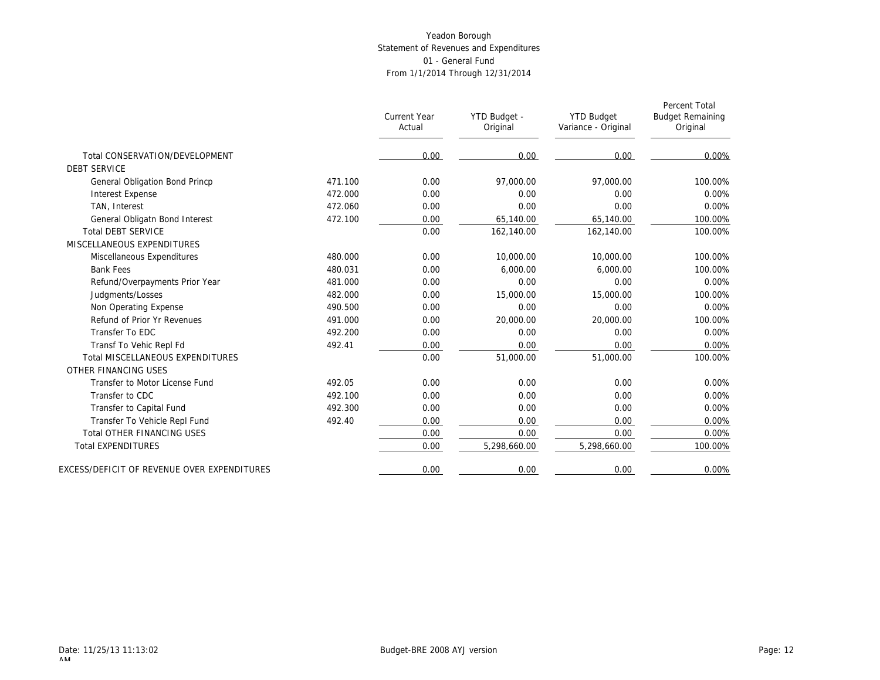|                                             |         | <b>Current Year</b><br>Actual | YTD Budget -<br>Original | <b>YTD Budget</b><br>Variance - Original | Percent Total<br><b>Budget Remaining</b><br>Original |
|---------------------------------------------|---------|-------------------------------|--------------------------|------------------------------------------|------------------------------------------------------|
| Total CONSERVATION/DEVELOPMENT              |         | 0.00                          | 0.00                     | 0.00                                     | 0.00%                                                |
| <b>DEBT SERVICE</b>                         |         |                               |                          |                                          |                                                      |
| General Obligation Bond Princp              | 471.100 | 0.00                          | 97,000.00                | 97.000.00                                | 100.00%                                              |
| <b>Interest Expense</b>                     | 472.000 | 0.00                          | 0.00                     | 0.00                                     | 0.00%                                                |
| TAN, Interest                               | 472.060 | 0.00                          | 0.00                     | 0.00                                     | 0.00%                                                |
| General Obligatn Bond Interest              | 472.100 | 0.00                          | 65,140.00                | 65,140.00                                | 100.00%                                              |
| <b>Total DEBT SERVICE</b>                   |         | 0.00                          | 162,140.00               | 162,140.00                               | 100.00%                                              |
| MISCELLANEOUS EXPENDITURES                  |         |                               |                          |                                          |                                                      |
| Miscellaneous Expenditures                  | 480.000 | 0.00                          | 10,000.00                | 10,000.00                                | 100.00%                                              |
| <b>Bank Fees</b>                            | 480.031 | 0.00                          | 6.000.00                 | 6.000.00                                 | 100.00%                                              |
| Refund/Overpayments Prior Year              | 481.000 | 0.00                          | 0.00                     | 0.00                                     | 0.00%                                                |
| Judgments/Losses                            | 482.000 | 0.00                          | 15,000.00                | 15,000.00                                | 100.00%                                              |
| Non Operating Expense                       | 490.500 | 0.00                          | 0.00                     | 0.00                                     | $0.00\%$                                             |
| Refund of Prior Yr Revenues                 | 491.000 | 0.00                          | 20,000.00                | 20,000.00                                | 100.00%                                              |
| Transfer To EDC                             | 492.200 | 0.00                          | 0.00                     | 0.00                                     | 0.00%                                                |
| Transf To Vehic Repl Fd                     | 492.41  | 0.00                          | 0.00                     | 0.00                                     | 0.00%                                                |
| <b>Total MISCELLANEOUS EXPENDITURES</b>     |         | 0.00                          | 51,000.00                | 51,000.00                                | 100.00%                                              |
| OTHER FINANCING USES                        |         |                               |                          |                                          |                                                      |
| Transfer to Motor License Fund              | 492.05  | 0.00                          | 0.00                     | 0.00                                     | 0.00%                                                |
| Transfer to CDC                             | 492.100 | 0.00                          | 0.00                     | 0.00                                     | 0.00%                                                |
| Transfer to Capital Fund                    | 492.300 | 0.00                          | 0.00                     | 0.00                                     | 0.00%                                                |
| Transfer To Vehicle Repl Fund               | 492.40  | 0.00                          | 0.00                     | 0.00                                     | 0.00%                                                |
| <b>Total OTHER FINANCING USES</b>           |         | 0.00                          | 0.00                     | 0.00                                     | 0.00%                                                |
| <b>Total EXPENDITURES</b>                   |         | 0.00                          | 5,298,660.00             | 5,298,660.00                             | 100.00%                                              |
| EXCESS/DEFICIT OF REVENUE OVER EXPENDITURES |         | 0.00                          | 0.00                     | 0.00                                     | 0.00%                                                |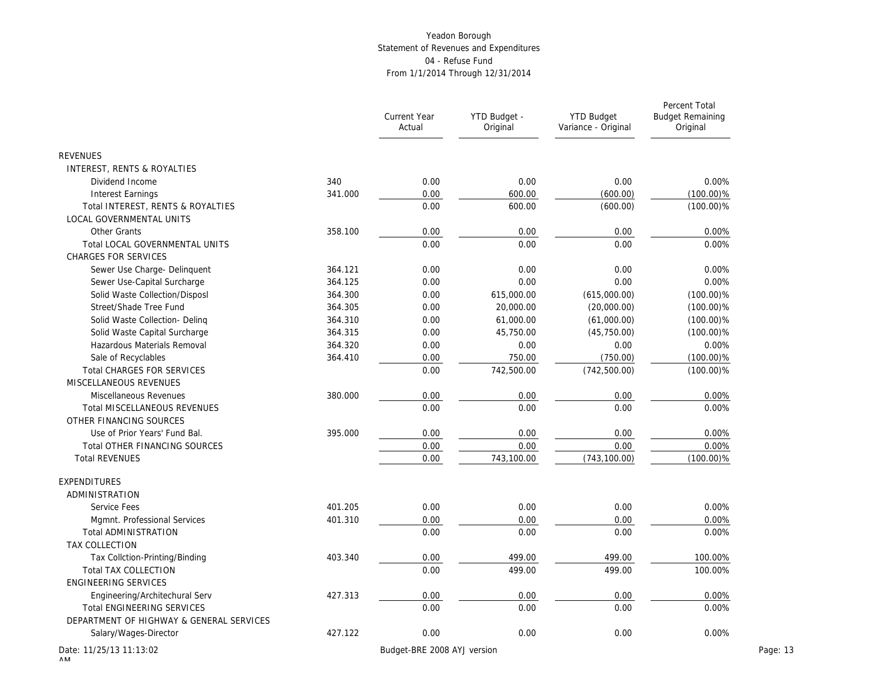|                                          |         | Current Year<br>Actual      | YTD Budget -<br>Original | <b>YTD Budget</b><br>Variance - Original | Percent Total<br><b>Budget Remaining</b><br>Original |          |
|------------------------------------------|---------|-----------------------------|--------------------------|------------------------------------------|------------------------------------------------------|----------|
| <b>REVENUES</b>                          |         |                             |                          |                                          |                                                      |          |
| INTEREST, RENTS & ROYALTIES              |         |                             |                          |                                          |                                                      |          |
| Dividend Income                          | 340     | 0.00                        | 0.00                     | 0.00                                     | 0.00%                                                |          |
| <b>Interest Earnings</b>                 | 341.000 | 0.00                        | 600.00                   | (600.00)                                 | $(100.00)\%$                                         |          |
| Total INTEREST, RENTS & ROYALTIES        |         | 0.00                        | 600.00                   | (600.00)                                 | $(100.00)\%$                                         |          |
| LOCAL GOVERNMENTAL UNITS                 |         |                             |                          |                                          |                                                      |          |
| Other Grants                             | 358.100 | 0.00                        | 0.00                     | 0.00                                     | 0.00%                                                |          |
| Total LOCAL GOVERNMENTAL UNITS           |         | 0.00                        | 0.00                     | 0.00                                     | 0.00%                                                |          |
| <b>CHARGES FOR SERVICES</b>              |         |                             |                          |                                          |                                                      |          |
| Sewer Use Charge- Delinquent             | 364.121 | 0.00                        | 0.00                     | 0.00                                     | 0.00%                                                |          |
| Sewer Use-Capital Surcharge              | 364.125 | 0.00                        | 0.00                     | 0.00                                     | 0.00%                                                |          |
| Solid Waste Collection/Disposl           | 364.300 | 0.00                        | 615,000.00               | (615,000.00)                             | $(100.00)\%$                                         |          |
| Street/Shade Tree Fund                   | 364.305 | 0.00                        | 20,000.00                | (20,000.00)                              | $(100.00)\%$                                         |          |
| Solid Waste Collection- Deling           | 364.310 | 0.00                        | 61,000.00                | (61,000.00)                              | $(100.00)\%$                                         |          |
| Solid Waste Capital Surcharge            | 364.315 | 0.00                        | 45,750.00                | (45, 750.00)                             | $(100.00)\%$                                         |          |
| Hazardous Materials Removal              | 364.320 | 0.00                        | 0.00                     | 0.00                                     | 0.00%                                                |          |
| Sale of Recyclables                      | 364.410 | 0.00                        | 750.00                   | (750.00)                                 | $(100.00)\%$                                         |          |
| Total CHARGES FOR SERVICES               |         | 0.00                        | 742,500.00               | (742, 500.00)                            | $(100.00)\%$                                         |          |
| MISCELLANEOUS REVENUES                   |         |                             |                          |                                          |                                                      |          |
| Miscellaneous Revenues                   | 380.000 | 0.00                        | 0.00                     | 0.00                                     | 0.00%                                                |          |
| <b>Total MISCELLANEOUS REVENUES</b>      |         | 0.00                        | 0.00                     | 0.00                                     | 0.00%                                                |          |
| OTHER FINANCING SOURCES                  |         |                             |                          |                                          |                                                      |          |
| Use of Prior Years' Fund Bal.            | 395.000 | 0.00                        | 0.00                     | 0.00                                     | 0.00%                                                |          |
| Total OTHER FINANCING SOURCES            |         | 0.00                        | 0.00                     | 0.00                                     | 0.00%                                                |          |
| <b>Total REVENUES</b>                    |         | 0.00                        | 743,100.00               | (743, 100.00)                            | $(100.00)\%$                                         |          |
| EXPENDITURES                             |         |                             |                          |                                          |                                                      |          |
| ADMINISTRATION                           |         |                             |                          |                                          |                                                      |          |
| Service Fees                             | 401.205 | 0.00                        | 0.00                     | 0.00                                     | 0.00%                                                |          |
| Mgmnt. Professional Services             | 401.310 | 0.00                        | 0.00                     | 0.00                                     | 0.00%                                                |          |
| Total ADMINISTRATION                     |         | 0.00                        | 0.00                     | 0.00                                     | 0.00%                                                |          |
| TAX COLLECTION                           |         |                             |                          |                                          |                                                      |          |
| Tax Collction-Printing/Binding           | 403.340 | 0.00                        | 499.00                   | 499.00                                   | 100.00%                                              |          |
| Total TAX COLLECTION                     |         | 0.00                        | 499.00                   | 499.00                                   | 100.00%                                              |          |
| ENGINEERING SERVICES                     |         |                             |                          |                                          |                                                      |          |
| Engineering/Architechural Serv           | 427.313 | 0.00                        | 0.00                     | 0.00                                     | 0.00%                                                |          |
| <b>Total ENGINEERING SERVICES</b>        |         | 0.00                        | 0.00                     | 0.00                                     | 0.00%                                                |          |
| DEPARTMENT OF HIGHWAY & GENERAL SERVICES |         |                             |                          |                                          |                                                      |          |
| Salary/Wages-Director                    | 427.122 | 0.00                        | 0.00                     | 0.00                                     | 0.00%                                                |          |
| Date: 11/25/13 11:13:02                  |         | Budget-BRE 2008 AYJ version |                          |                                          |                                                      | Page: 13 |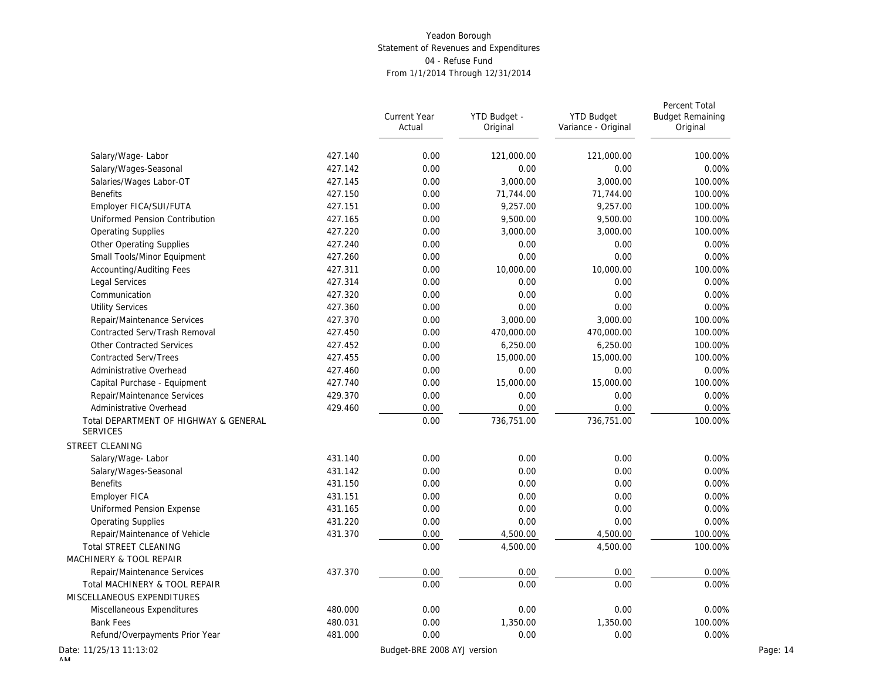|                                                          |         | <b>Current Year</b><br>Actual | YTD Budget -<br>Original | <b>YTD Budget</b><br>Variance - Original | Percent Total<br><b>Budget Remaining</b><br>Original |          |
|----------------------------------------------------------|---------|-------------------------------|--------------------------|------------------------------------------|------------------------------------------------------|----------|
| Salary/Wage-Labor                                        | 427.140 | 0.00                          | 121,000.00               | 121,000.00                               | 100.00%                                              |          |
| Salary/Wages-Seasonal                                    | 427.142 | 0.00                          | 0.00                     | 0.00                                     | 0.00%                                                |          |
| Salaries/Wages Labor-OT                                  | 427.145 | 0.00                          | 3,000.00                 | 3,000.00                                 | 100.00%                                              |          |
| <b>Benefits</b>                                          | 427.150 | 0.00                          | 71,744.00                | 71,744.00                                | 100.00%                                              |          |
| Employer FICA/SUI/FUTA                                   | 427.151 | 0.00                          | 9,257.00                 | 9,257.00                                 | 100.00%                                              |          |
| Uniformed Pension Contribution                           | 427.165 | 0.00                          | 9,500.00                 | 9,500.00                                 | 100.00%                                              |          |
| <b>Operating Supplies</b>                                | 427.220 | 0.00                          | 3,000.00                 | 3,000.00                                 | 100.00%                                              |          |
| Other Operating Supplies                                 | 427.240 | 0.00                          | 0.00                     | 0.00                                     | 0.00%                                                |          |
| Small Tools/Minor Equipment                              | 427.260 | 0.00                          | 0.00                     | 0.00                                     | 0.00%                                                |          |
| Accounting/Auditing Fees                                 | 427.311 | 0.00                          | 10,000.00                | 10,000.00                                | 100.00%                                              |          |
| Legal Services                                           | 427.314 | 0.00                          | 0.00                     | 0.00                                     | 0.00%                                                |          |
| Communication                                            | 427.320 | 0.00                          | 0.00                     | 0.00                                     | 0.00%                                                |          |
| <b>Utility Services</b>                                  | 427.360 | 0.00                          | 0.00                     | 0.00                                     | 0.00%                                                |          |
| Repair/Maintenance Services                              | 427.370 | 0.00                          | 3,000.00                 | 3,000.00                                 | 100.00%                                              |          |
| Contracted Serv/Trash Removal                            | 427.450 | 0.00                          | 470,000.00               | 470,000.00                               | 100.00%                                              |          |
| Other Contracted Services                                | 427.452 | 0.00                          | 6,250.00                 | 6,250.00                                 | 100.00%                                              |          |
| <b>Contracted Serv/Trees</b>                             | 427.455 | 0.00                          | 15,000.00                | 15,000.00                                | 100.00%                                              |          |
| Administrative Overhead                                  | 427.460 | 0.00                          | 0.00                     | 0.00                                     | 0.00%                                                |          |
| Capital Purchase - Equipment                             | 427.740 | 0.00                          | 15,000.00                | 15,000.00                                | 100.00%                                              |          |
| Repair/Maintenance Services                              | 429.370 | 0.00                          | 0.00                     | 0.00                                     | 0.00%                                                |          |
| Administrative Overhead                                  | 429.460 | 0.00                          | 0.00                     | 0.00                                     | 0.00%                                                |          |
| Total DEPARTMENT OF HIGHWAY & GENERAL<br><b>SERVICES</b> |         | 0.00                          | 736,751.00               | 736,751.00                               | 100.00%                                              |          |
| STREET CLEANING                                          |         |                               |                          |                                          |                                                      |          |
| Salary/Wage-Labor                                        | 431.140 | 0.00                          | 0.00                     | 0.00                                     | 0.00%                                                |          |
| Salary/Wages-Seasonal                                    | 431.142 | 0.00                          | 0.00                     | 0.00                                     | 0.00%                                                |          |
| <b>Benefits</b>                                          | 431.150 | 0.00                          | 0.00                     | 0.00                                     | 0.00%                                                |          |
| Employer FICA                                            | 431.151 | 0.00                          | 0.00                     | 0.00                                     | 0.00%                                                |          |
| Uniformed Pension Expense                                | 431.165 | 0.00                          | 0.00                     | 0.00                                     | 0.00%                                                |          |
| <b>Operating Supplies</b>                                | 431.220 | 0.00                          | 0.00                     | 0.00                                     | 0.00%                                                |          |
| Repair/Maintenance of Vehicle                            | 431.370 | 0.00                          | 4,500.00                 | 4,500.00                                 | 100.00%                                              |          |
| Total STREET CLEANING                                    |         | 0.00                          | 4,500.00                 | 4,500.00                                 | 100.00%                                              |          |
| MACHINERY & TOOL REPAIR                                  |         |                               |                          |                                          |                                                      |          |
| Repair/Maintenance Services                              | 437.370 | 0.00                          | 0.00                     | 0.00                                     | 0.00%                                                |          |
| Total MACHINERY & TOOL REPAIR                            |         | 0.00                          | 0.00                     | 0.00                                     | 0.00%                                                |          |
| MISCELLANEOUS EXPENDITURES                               |         |                               |                          |                                          |                                                      |          |
| Miscellaneous Expenditures                               | 480.000 | 0.00                          | 0.00                     | 0.00                                     | 0.00%                                                |          |
| <b>Bank Fees</b>                                         | 480.031 | 0.00                          | 1,350.00                 | 1,350.00                                 | 100.00%                                              |          |
| Refund/Overpayments Prior Year                           | 481.000 | 0.00                          | 0.00                     | 0.00                                     | 0.00%                                                |          |
| ate: 11/25/13 11:13:02                                   |         | Budget-BRE 2008 AYJ version   |                          |                                          |                                                      | Page: 14 |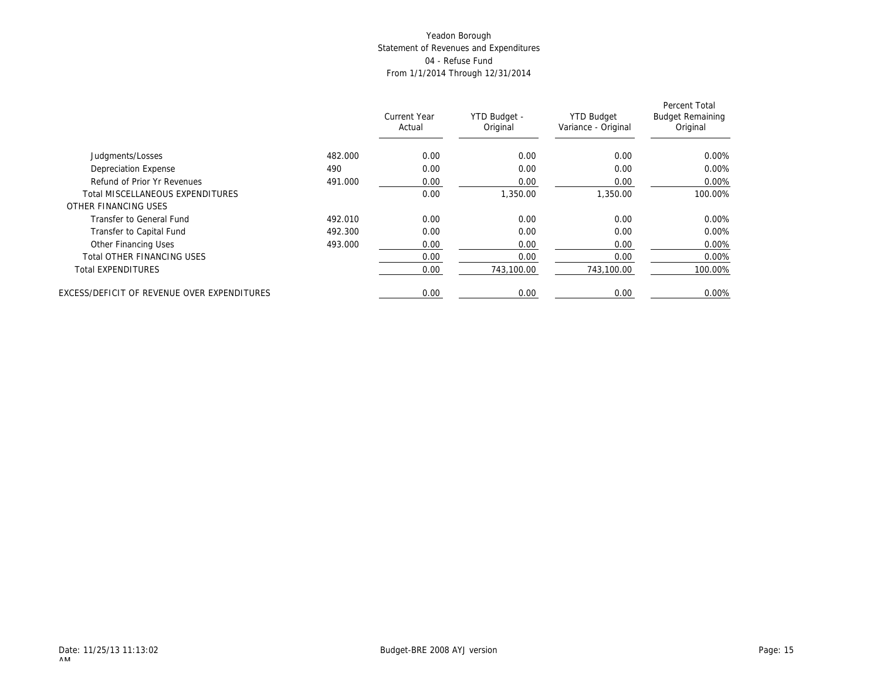|                                             |         | Current Year<br>Actual | YTD Budget -<br>Original | <b>YTD Budget</b><br>Variance - Original | Percent Total<br><b>Budget Remaining</b><br>Original |
|---------------------------------------------|---------|------------------------|--------------------------|------------------------------------------|------------------------------------------------------|
| Judgments/Losses                            | 482.000 | 0.00                   | 0.00                     | 0.00                                     | $0.00\%$                                             |
| <b>Depreciation Expense</b>                 | 490     | 0.00                   | 0.00                     | 0.00                                     | 0.00%                                                |
| Refund of Prior Yr Revenues                 | 491.000 | 0.00                   | 0.00                     | 0.00                                     | $0.00\%$                                             |
| <b>Total MISCELLANEOUS EXPENDITURES</b>     |         | 0.00                   | 1,350.00                 | 1.350.00                                 | 100.00%                                              |
| OTHER FINANCING USES                        |         |                        |                          |                                          |                                                      |
| Transfer to General Fund                    | 492.010 | 0.00                   | 0.00                     | 0.00                                     | $0.00\%$                                             |
| Transfer to Capital Fund                    | 492.300 | 0.00                   | 0.00                     | 0.00                                     | 0.00%                                                |
| Other Financing Uses                        | 493.000 | 0.00                   | 0.00                     | 0.00                                     | 0.00%                                                |
| <b>Total OTHER FINANCING USES</b>           |         | 0.00                   | 0.00                     | 0.00                                     | 0.00%                                                |
| <b>Total EXPENDITURES</b>                   |         | 0.00                   | 743,100.00               | 743,100.00                               | 100.00%                                              |
| EXCESS/DEFICIT OF REVENUE OVER EXPENDITURES |         | 0.00                   | 0.00                     | 0.00                                     | 0.00%                                                |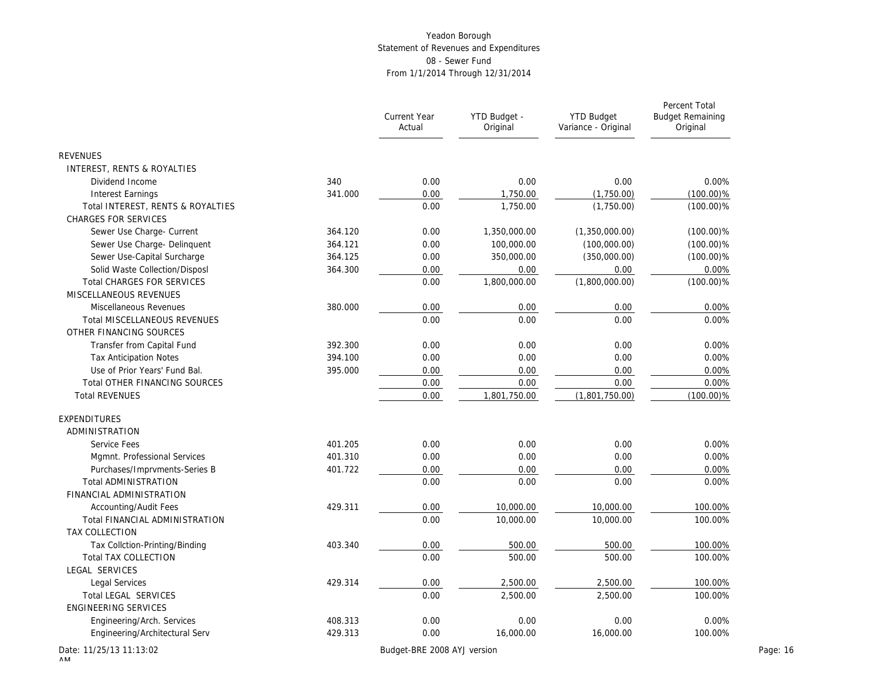|                                     |         | Current Year<br>Actual | YTD Budget -<br>Original | <b>YTD Budget</b><br>Variance - Original | Percent Total<br><b>Budget Remaining</b><br>Original |
|-------------------------------------|---------|------------------------|--------------------------|------------------------------------------|------------------------------------------------------|
| <b>REVENUES</b>                     |         |                        |                          |                                          |                                                      |
| INTEREST, RENTS & ROYALTIES         |         |                        |                          |                                          |                                                      |
| Dividend Income                     | 340     | 0.00                   | 0.00                     | 0.00                                     | 0.00%                                                |
| <b>Interest Earnings</b>            | 341.000 | 0.00                   | 1,750.00                 | (1,750.00)                               | $(100.00)\%$                                         |
| Total INTEREST, RENTS & ROYALTIES   |         | 0.00                   | 1,750.00                 | (1,750.00)                               | $(100.00)\%$                                         |
| <b>CHARGES FOR SERVICES</b>         |         |                        |                          |                                          |                                                      |
| Sewer Use Charge- Current           | 364.120 | 0.00                   | 1,350,000.00             | (1,350,000.00)                           | $(100.00)\%$                                         |
| Sewer Use Charge- Delinquent        | 364.121 | 0.00                   | 100,000.00               | (100,000.00)                             | $(100.00)\%$                                         |
| Sewer Use-Capital Surcharge         | 364.125 | 0.00                   | 350,000.00               | (350,000.00)                             | $(100.00)\%$                                         |
| Solid Waste Collection/Disposl      | 364.300 | 0.00                   | 0.00                     | 0.00                                     | 0.00%                                                |
| <b>Total CHARGES FOR SERVICES</b>   |         | 0.00                   | 1,800,000.00             | (1,800,000.00)                           | $(100.00)\%$                                         |
| MISCELLANEOUS REVENUES              |         |                        |                          |                                          |                                                      |
| Miscellaneous Revenues              | 380.000 | 0.00                   | 0.00                     | 0.00                                     | 0.00%                                                |
| <b>Total MISCELLANEOUS REVENUES</b> |         | 0.00                   | 0.00                     | 0.00                                     | 0.00%                                                |
| OTHER FINANCING SOURCES             |         |                        |                          |                                          |                                                      |
| Transfer from Capital Fund          | 392.300 | 0.00                   | 0.00                     | 0.00                                     | 0.00%                                                |
| <b>Tax Anticipation Notes</b>       | 394.100 | 0.00                   | 0.00                     | 0.00                                     | 0.00%                                                |
| Use of Prior Years' Fund Bal.       | 395.000 | 0.00                   | 0.00                     | 0.00                                     | 0.00%                                                |
| Total OTHER FINANCING SOURCES       |         | 0.00                   | 0.00                     | 0.00                                     | 0.00%                                                |
| <b>Total REVENUES</b>               |         | 0.00                   | 1,801,750.00             | (1,801,750.00)                           | $(100.00)\%$                                         |
| EXPENDITURES                        |         |                        |                          |                                          |                                                      |
| ADMINISTRATION                      |         |                        |                          |                                          |                                                      |
| Service Fees                        | 401.205 | 0.00                   | 0.00                     | 0.00                                     | 0.00%                                                |
| Mgmnt. Professional Services        | 401.310 | 0.00                   | 0.00                     | 0.00                                     | 0.00%                                                |
| Purchases/Imprvments-Series B       | 401.722 | 0.00                   | 0.00                     | 0.00                                     | 0.00%                                                |
| Total ADMINISTRATION                |         | 0.00                   | 0.00                     | 0.00                                     | 0.00%                                                |
| FINANCIAL ADMINISTRATION            |         |                        |                          |                                          |                                                      |
| Accounting/Audit Fees               | 429.311 | 0.00                   | 10,000.00                | 10,000.00                                | 100.00%                                              |
| Total FINANCIAL ADMINISTRATION      |         | 0.00                   | 10,000.00                | 10,000.00                                | 100.00%                                              |
| TAX COLLECTION                      |         |                        |                          |                                          |                                                      |
| Tax Collction-Printing/Binding      | 403.340 | 0.00                   | 500.00                   | 500.00                                   | 100.00%                                              |
| <b>Total TAX COLLECTION</b>         |         | 0.00                   | 500.00                   | 500.00                                   | 100.00%                                              |
| LEGAL SERVICES                      |         |                        |                          |                                          |                                                      |
| Legal Services                      | 429.314 | 0.00                   | 2,500.00                 | 2,500.00                                 | 100.00%                                              |
| Total LEGAL SERVICES                |         | 0.00                   | 2,500.00                 | 2,500.00                                 | 100.00%                                              |
| <b>ENGINEERING SERVICES</b>         |         |                        |                          |                                          |                                                      |
| Engineering/Arch. Services          | 408.313 | 0.00                   | 0.00                     | 0.00                                     | 0.00%                                                |
| Engineering/Architectural Serv      | 429.313 | 0.00                   | 16,000.00                | 16,000.00                                | 100.00%                                              |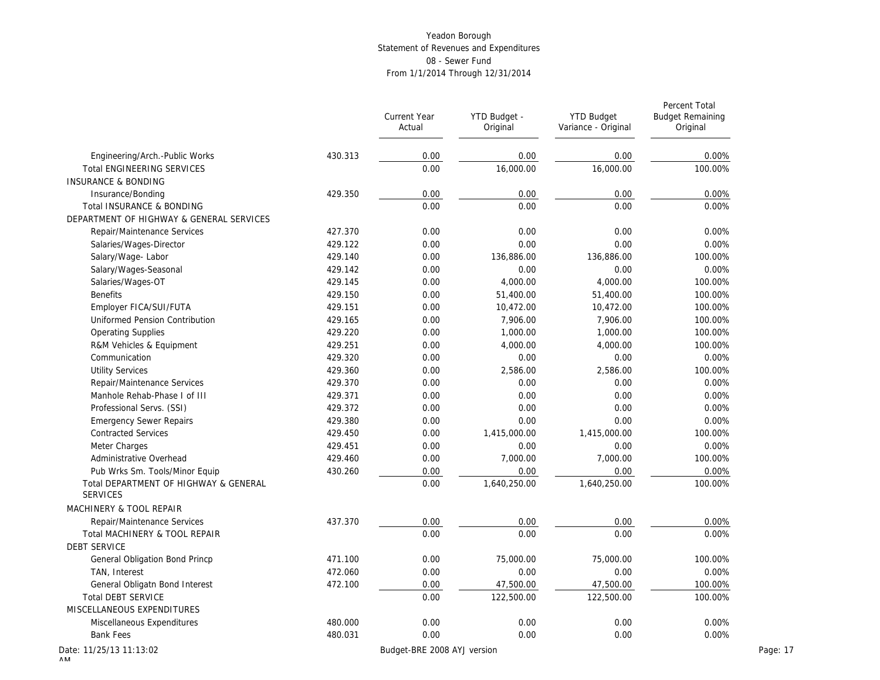|                                                          |         | Current Year<br>Actual      | YTD Budget -<br>Original | <b>YTD Budget</b><br>Variance - Original | Percent Total<br><b>Budget Remaining</b><br>Original |          |
|----------------------------------------------------------|---------|-----------------------------|--------------------------|------------------------------------------|------------------------------------------------------|----------|
| Engineering/Arch.-Public Works                           | 430.313 | 0.00                        | 0.00                     | 0.00                                     | 0.00%                                                |          |
| <b>Total ENGINEERING SERVICES</b>                        |         | 0.00                        | 16,000.00                | 16,000.00                                | 100.00%                                              |          |
| <b>INSURANCE &amp; BONDING</b>                           |         |                             |                          |                                          |                                                      |          |
| Insurance/Bonding                                        | 429.350 | 0.00                        | 0.00                     | 0.00                                     | 0.00%                                                |          |
| Total INSURANCE & BONDING                                |         | 0.00                        | 0.00                     | 0.00                                     | 0.00%                                                |          |
| DEPARTMENT OF HIGHWAY & GENERAL SERVICES                 |         |                             |                          |                                          |                                                      |          |
| Repair/Maintenance Services                              | 427.370 | 0.00                        | 0.00                     | 0.00                                     | 0.00%                                                |          |
| Salaries/Wages-Director                                  | 429.122 | 0.00                        | 0.00                     | 0.00                                     | 0.00%                                                |          |
| Salary/Wage-Labor                                        | 429.140 | 0.00                        | 136,886.00               | 136,886.00                               | 100.00%                                              |          |
| Salary/Wages-Seasonal                                    | 429.142 | 0.00                        | 0.00                     | 0.00                                     | 0.00%                                                |          |
| Salaries/Wages-OT                                        | 429.145 | 0.00                        | 4,000.00                 | 4,000.00                                 | 100.00%                                              |          |
| <b>Benefits</b>                                          | 429.150 | 0.00                        | 51,400.00                | 51,400.00                                | 100.00%                                              |          |
| Employer FICA/SUI/FUTA                                   | 429.151 | 0.00                        | 10,472.00                | 10,472.00                                | 100.00%                                              |          |
| Uniformed Pension Contribution                           | 429.165 | 0.00                        | 7,906.00                 | 7,906.00                                 | 100.00%                                              |          |
| <b>Operating Supplies</b>                                | 429.220 | 0.00                        | 1,000.00                 | 1,000.00                                 | 100.00%                                              |          |
| R&M Vehicles & Equipment                                 | 429.251 | 0.00                        | 4,000.00                 | 4,000.00                                 | 100.00%                                              |          |
| Communication                                            | 429.320 | 0.00                        | 0.00                     | 0.00                                     | 0.00%                                                |          |
| <b>Utility Services</b>                                  | 429.360 | 0.00                        | 2,586.00                 | 2,586.00                                 | 100.00%                                              |          |
| Repair/Maintenance Services                              | 429.370 | 0.00                        | 0.00                     | 0.00                                     | 0.00%                                                |          |
| Manhole Rehab-Phase I of III                             | 429.371 | 0.00                        | 0.00                     | 0.00                                     | 0.00%                                                |          |
| Professional Servs. (SSI)                                | 429.372 | 0.00                        | 0.00                     | 0.00                                     | 0.00%                                                |          |
| <b>Emergency Sewer Repairs</b>                           | 429.380 | 0.00                        | 0.00                     | 0.00                                     | 0.00%                                                |          |
| <b>Contracted Services</b>                               | 429.450 | 0.00                        | 1,415,000.00             | 1,415,000.00                             | 100.00%                                              |          |
| Meter Charges                                            | 429.451 | 0.00                        | 0.00                     | 0.00                                     | 0.00%                                                |          |
| Administrative Overhead                                  | 429.460 | 0.00                        | 7,000.00                 | 7,000.00                                 | 100.00%                                              |          |
| Pub Wrks Sm. Tools/Minor Equip                           | 430.260 | 0.00                        | 0.00                     | 0.00                                     | 0.00%                                                |          |
| Total DEPARTMENT OF HIGHWAY & GENERAL<br><b>SERVICES</b> |         | 0.00                        | 1,640,250.00             | 1,640,250.00                             | 100.00%                                              |          |
| MACHINERY & TOOL REPAIR                                  |         |                             |                          |                                          |                                                      |          |
| Repair/Maintenance Services                              | 437.370 | 0.00                        | 0.00                     | 0.00                                     | 0.00%                                                |          |
| Total MACHINERY & TOOL REPAIR                            |         | 0.00                        | 0.00                     | 0.00                                     | 0.00%                                                |          |
| <b>DEBT SERVICE</b>                                      |         |                             |                          |                                          |                                                      |          |
| General Obligation Bond Princp                           | 471.100 | 0.00                        | 75,000.00                | 75,000.00                                | 100.00%                                              |          |
| TAN, Interest                                            | 472.060 | 0.00                        | 0.00                     | 0.00                                     | 0.00%                                                |          |
| General Obligatn Bond Interest                           | 472.100 | 0.00                        | 47,500.00                | 47,500.00                                | 100.00%                                              |          |
| <b>Total DEBT SERVICE</b>                                |         | 0.00                        | 122,500.00               | 122,500.00                               | 100.00%                                              |          |
| MISCELLANEOUS EXPENDITURES                               |         |                             |                          |                                          |                                                      |          |
| Miscellaneous Expenditures                               | 480.000 | 0.00                        | 0.00                     | 0.00                                     | 0.00%                                                |          |
| <b>Bank Fees</b>                                         | 480.031 | 0.00                        | 0.00                     | 0.00                                     | 0.00%                                                |          |
| ate: 11/25/13 11:13:02                                   |         | Budget-BRE 2008 AYJ version |                          |                                          |                                                      | Page: 17 |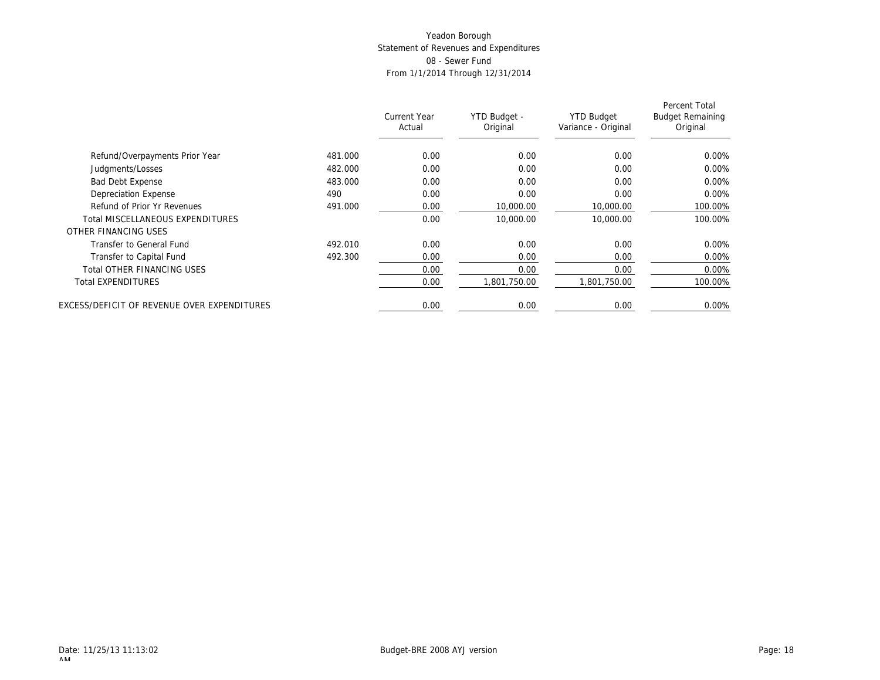|                                             |         | Current Year<br>Actual | YTD Budget -<br>Original | <b>YTD Budget</b><br>Variance - Original | Percent Total<br><b>Budget Remaining</b><br>Original |
|---------------------------------------------|---------|------------------------|--------------------------|------------------------------------------|------------------------------------------------------|
|                                             |         |                        |                          |                                          |                                                      |
| Refund/Overpayments Prior Year              | 481.000 | 0.00                   | 0.00                     | 0.00                                     | 0.00%                                                |
| Judgments/Losses                            | 482.000 | 0.00                   | 0.00                     | 0.00                                     | $0.00\%$                                             |
| <b>Bad Debt Expense</b>                     | 483.000 | 0.00                   | 0.00                     | 0.00                                     | $0.00\%$                                             |
| Depreciation Expense                        | 490     | 0.00                   | 0.00                     | 0.00                                     | $0.00\%$                                             |
| Refund of Prior Yr Revenues                 | 491.000 | 0.00                   | 10,000.00                | 10,000.00                                | 100.00%                                              |
| Total MISCELLANEOUS EXPENDITURES            |         | 0.00                   | 10,000.00                | 10,000.00                                | 100.00%                                              |
| OTHER FINANCING USES                        |         |                        |                          |                                          |                                                      |
| Transfer to General Fund                    | 492.010 | 0.00                   | 0.00                     | 0.00                                     | $0.00\%$                                             |
| Transfer to Capital Fund                    | 492.300 | 0.00                   | 0.00                     | 0.00                                     | $0.00\%$                                             |
| Total OTHER FINANCING USES                  |         | 0.00                   | 0.00                     | 0.00                                     | $0.00\%$                                             |
| <b>Total EXPENDITURES</b>                   |         | 0.00                   | 1.801.750.00             | .801.750.00                              | 100.00%                                              |
| EXCESS/DEFICIT OF REVENUE OVER EXPENDITURES |         | 0.00                   | 0.00                     | 0.00                                     | $0.00\%$                                             |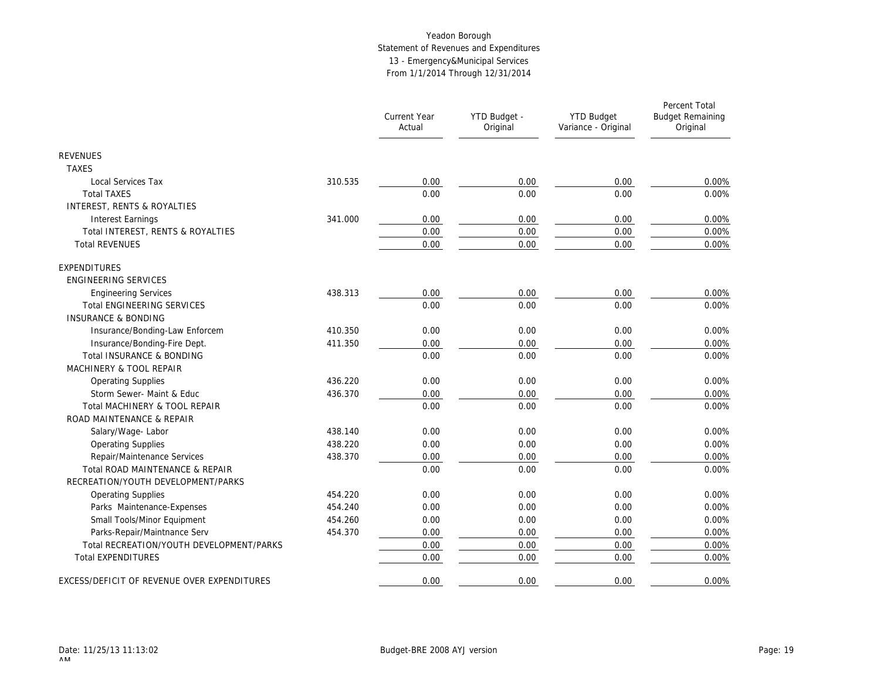# Yeadon Borough Statement of Revenues and Expenditures 13 - Emergency&Municipal Services From 1/1/2014 Through 12/31/2014

|                                             |         | <b>Current Year</b><br>Actual | YTD Budget -<br>Original | <b>YTD Budget</b><br>Variance - Original | Percent Total<br><b>Budget Remaining</b><br>Original |
|---------------------------------------------|---------|-------------------------------|--------------------------|------------------------------------------|------------------------------------------------------|
| <b>REVENUES</b>                             |         |                               |                          |                                          |                                                      |
| <b>TAXES</b>                                |         |                               |                          |                                          |                                                      |
| Local Services Tax                          | 310.535 | 0.00                          | 0.00                     | 0.00                                     | 0.00%                                                |
| <b>Total TAXES</b>                          |         | 0.00                          | 0.00                     | 0.00                                     | 0.00%                                                |
| INTEREST, RENTS & ROYALTIES                 |         |                               |                          |                                          |                                                      |
| <b>Interest Earnings</b>                    | 341.000 | 0.00                          | 0.00                     | 0.00                                     | 0.00%                                                |
| Total INTEREST, RENTS & ROYALTIES           |         | 0.00                          | 0.00                     | 0.00                                     | 0.00%                                                |
| <b>Total REVENUES</b>                       |         | 0.00                          | 0.00                     | 0.00                                     | 0.00%                                                |
| EXPENDITURES                                |         |                               |                          |                                          |                                                      |
| ENGINEERING SERVICES                        |         |                               |                          |                                          |                                                      |
| <b>Engineering Services</b>                 | 438.313 | 0.00                          | 0.00                     | 0.00                                     | 0.00%                                                |
| <b>Total ENGINEERING SERVICES</b>           |         | 0.00                          | 0.00                     | 0.00                                     | 0.00%                                                |
| <b>INSURANCE &amp; BONDING</b>              |         |                               |                          |                                          |                                                      |
| Insurance/Bonding-Law Enforcem              | 410.350 | 0.00                          | 0.00                     | 0.00                                     | 0.00%                                                |
| Insurance/Bonding-Fire Dept.                | 411.350 | 0.00                          | 0.00                     | 0.00                                     | 0.00%                                                |
| Total INSURANCE & BONDING                   |         | 0.00                          | 0.00                     | 0.00                                     | 0.00%                                                |
| MACHINERY & TOOL REPAIR                     |         |                               |                          |                                          |                                                      |
| <b>Operating Supplies</b>                   | 436.220 | 0.00                          | 0.00                     | 0.00                                     | 0.00%                                                |
| Storm Sewer- Maint & Educ                   | 436.370 | 0.00                          | 0.00                     | 0.00                                     | 0.00%                                                |
| Total MACHINERY & TOOL REPAIR               |         | 0.00                          | 0.00                     | 0.00                                     | 0.00%                                                |
| ROAD MAINTENANCE & REPAIR                   |         |                               |                          |                                          |                                                      |
| Salary/Wage-Labor                           | 438.140 | 0.00                          | 0.00                     | 0.00                                     | 0.00%                                                |
| <b>Operating Supplies</b>                   | 438.220 | 0.00                          | 0.00                     | 0.00                                     | 0.00%                                                |
| Repair/Maintenance Services                 | 438.370 | 0.00                          | 0.00                     | 0.00                                     | 0.00%                                                |
| Total ROAD MAINTENANCE & REPAIR             |         | 0.00                          | 0.00                     | 0.00                                     | 0.00%                                                |
| RECREATION/YOUTH DEVELOPMENT/PARKS          |         |                               |                          |                                          |                                                      |
| <b>Operating Supplies</b>                   | 454.220 | 0.00                          | 0.00                     | 0.00                                     | 0.00%                                                |
| Parks Maintenance-Expenses                  | 454.240 | 0.00                          | 0.00                     | 0.00                                     | 0.00%                                                |
| Small Tools/Minor Equipment                 | 454.260 | 0.00                          | 0.00                     | 0.00                                     | 0.00%                                                |
| Parks-Repair/Maintnance Serv                | 454.370 | 0.00                          | 0.00                     | 0.00                                     | 0.00%                                                |
| Total RECREATION/YOUTH DEVELOPMENT/PARKS    |         | 0.00                          | 0.00                     | 0.00                                     | 0.00%                                                |
| <b>Total EXPENDITURES</b>                   |         | 0.00                          | 0.00                     | 0.00                                     | 0.00%                                                |
| EXCESS/DEFICIT OF REVENUE OVER EXPENDITURES |         | 0.00                          | 0.00                     | 0.00                                     | 0.00%                                                |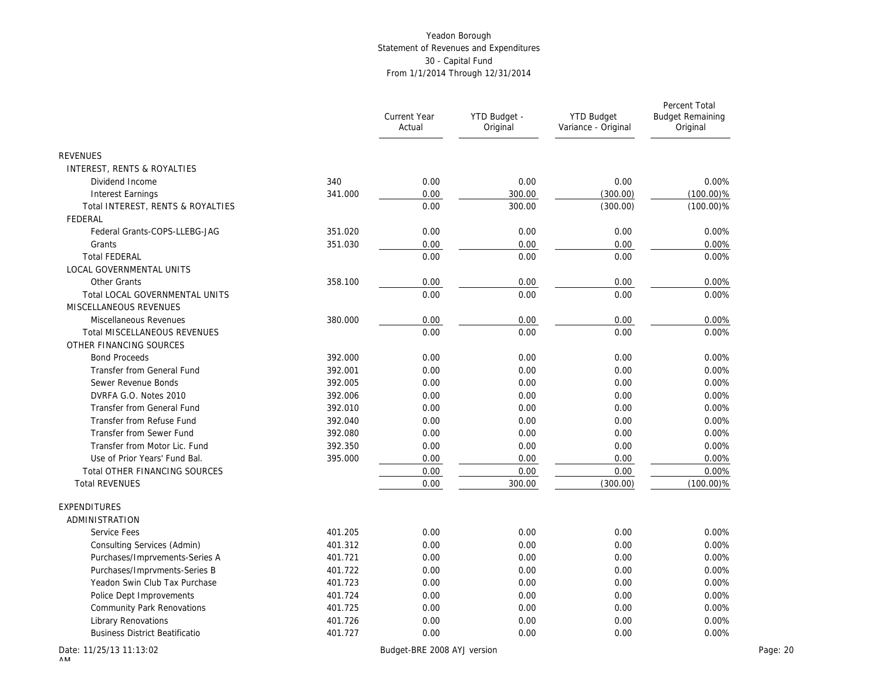|                                       |         | <b>Current Year</b><br>Actual | YTD Budget -<br>Original | <b>YTD Budget</b><br>Variance - Original | Percent Total<br><b>Budget Remaining</b><br>Original |
|---------------------------------------|---------|-------------------------------|--------------------------|------------------------------------------|------------------------------------------------------|
| <b>REVENUES</b>                       |         |                               |                          |                                          |                                                      |
| INTEREST, RENTS & ROYALTIES           |         |                               |                          |                                          |                                                      |
| Dividend Income                       | 340     | 0.00                          | 0.00                     | 0.00                                     | 0.00%                                                |
| <b>Interest Earnings</b>              | 341.000 | 0.00                          | 300.00                   | (300.00)                                 | $(100.00)\%$                                         |
| Total INTEREST, RENTS & ROYALTIES     |         | 0.00                          | 300.00                   | (300.00)                                 | $(100.00)\%$                                         |
| FEDERAL                               |         |                               |                          |                                          |                                                      |
| Federal Grants-COPS-LLEBG-JAG         | 351.020 | 0.00                          | 0.00                     | 0.00                                     | 0.00%                                                |
| Grants                                | 351.030 | 0.00                          | 0.00                     | 0.00                                     | 0.00%                                                |
| <b>Total FEDERAL</b>                  |         | 0.00                          | 0.00                     | 0.00                                     | 0.00%                                                |
| <b>LOCAL GOVERNMENTAL UNITS</b>       |         |                               |                          |                                          |                                                      |
| Other Grants                          | 358.100 | 0.00                          | 0.00                     | 0.00                                     | 0.00%                                                |
| Total LOCAL GOVERNMENTAL UNITS        |         | 0.00                          | 0.00                     | 0.00                                     | 0.00%                                                |
| MISCELLANEOUS REVENUES                |         |                               |                          |                                          |                                                      |
| Miscellaneous Revenues                | 380.000 | 0.00                          | 0.00                     | 0.00                                     | 0.00%                                                |
| <b>Total MISCELLANEOUS REVENUES</b>   |         | 0.00                          | 0.00                     | 0.00                                     | 0.00%                                                |
| OTHER FINANCING SOURCES               |         |                               |                          |                                          |                                                      |
| <b>Bond Proceeds</b>                  | 392.000 | 0.00                          | 0.00                     | 0.00                                     | 0.00%                                                |
| Transfer from General Fund            | 392.001 | 0.00                          | 0.00                     | 0.00                                     | 0.00%                                                |
| Sewer Revenue Bonds                   | 392.005 | 0.00                          | 0.00                     | 0.00                                     | 0.00%                                                |
| DVRFA G.O. Notes 2010                 | 392.006 | 0.00                          | 0.00                     | 0.00                                     | 0.00%                                                |
| Transfer from General Fund            | 392.010 | 0.00                          | 0.00                     | 0.00                                     | 0.00%                                                |
| Transfer from Refuse Fund             | 392.040 | 0.00                          | 0.00                     | 0.00                                     | 0.00%                                                |
| Transfer from Sewer Fund              | 392.080 | 0.00                          | 0.00                     | 0.00                                     | 0.00%                                                |
| Transfer from Motor Lic. Fund         | 392.350 | 0.00                          | 0.00                     | 0.00                                     | 0.00%                                                |
| Use of Prior Years' Fund Bal.         | 395.000 | 0.00                          | 0.00                     | 0.00                                     | 0.00%                                                |
| Total OTHER FINANCING SOURCES         |         | 0.00                          | 0.00                     | 0.00                                     | 0.00%                                                |
| <b>Total REVENUES</b>                 |         | 0.00                          | 300.00                   | (300.00)                                 | $(100.00)\%$                                         |
| EXPENDITURES                          |         |                               |                          |                                          |                                                      |
| ADMINISTRATION                        |         |                               |                          |                                          |                                                      |
| Service Fees                          | 401.205 | 0.00                          | 0.00                     | 0.00                                     | 0.00%                                                |
| Consulting Services (Admin)           | 401.312 | 0.00                          | 0.00                     | 0.00                                     | 0.00%                                                |
| Purchases/Imprvements-Series A        | 401.721 | 0.00                          | 0.00                     | 0.00                                     | 0.00%                                                |
| Purchases/Imprvments-Series B         | 401.722 | 0.00                          | 0.00                     | 0.00                                     | 0.00%                                                |
| Yeadon Swin Club Tax Purchase         | 401.723 | 0.00                          | 0.00                     | 0.00                                     | 0.00%                                                |
| Police Dept Improvements              | 401.724 | 0.00                          | 0.00                     | 0.00                                     | 0.00%                                                |
| Community Park Renovations            | 401.725 | 0.00                          | 0.00                     | 0.00                                     | 0.00%                                                |
| <b>Library Renovations</b>            | 401.726 | 0.00                          | 0.00                     | 0.00                                     | 0.00%                                                |
| <b>Business District Beatificatio</b> | 401.727 | 0.00                          | 0.00                     | 0.00                                     | 0.00%                                                |
| Date: 11/25/13 11:13:02               |         | Budget-BRE 2008 AYJ version   |                          |                                          | Page: 20                                             |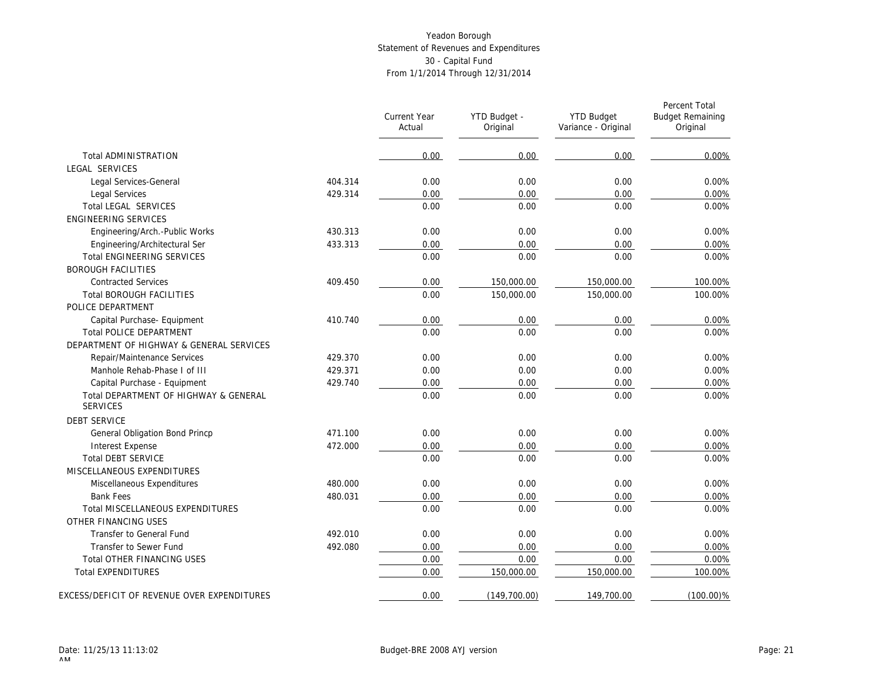|                                                          |         | Current Year<br>Actual | YTD Budget -<br>Original | <b>YTD Budget</b><br>Variance - Original | Percent Total<br><b>Budget Remaining</b><br>Original |
|----------------------------------------------------------|---------|------------------------|--------------------------|------------------------------------------|------------------------------------------------------|
| <b>Total ADMINISTRATION</b>                              |         | 0.00                   | 0.00                     | 0.00                                     | 0.00%                                                |
| LEGAL SERVICES                                           |         |                        |                          |                                          |                                                      |
| Legal Services-General                                   | 404.314 | 0.00                   | 0.00                     | 0.00                                     | 0.00%                                                |
| Legal Services                                           | 429.314 | 0.00                   | 0.00                     | 0.00                                     | 0.00%                                                |
| <b>Total LEGAL SERVICES</b>                              |         | 0.00                   | 0.00                     | 0.00                                     | 0.00%                                                |
| <b>ENGINEERING SERVICES</b>                              |         |                        |                          |                                          |                                                      |
| Engineering/Arch.-Public Works                           | 430.313 | 0.00                   | 0.00                     | 0.00                                     | 0.00%                                                |
| Engineering/Architectural Ser                            | 433.313 | 0.00                   | 0.00                     | 0.00                                     | 0.00%                                                |
| <b>Total ENGINEERING SERVICES</b>                        |         | 0.00                   | 0.00                     | 0.00                                     | 0.00%                                                |
| <b>BOROUGH FACILITIES</b>                                |         |                        |                          |                                          |                                                      |
| <b>Contracted Services</b>                               | 409.450 | 0.00                   | 150,000.00               | 150,000.00                               | 100.00%                                              |
| <b>Total BOROUGH FACILITIES</b>                          |         | 0.00                   | 150,000.00               | 150,000.00                               | 100.00%                                              |
| POLICE DEPARTMENT                                        |         |                        |                          |                                          |                                                      |
| Capital Purchase- Equipment                              | 410.740 | 0.00                   | 0.00                     | 0.00                                     | 0.00%                                                |
| <b>Total POLICE DEPARTMENT</b>                           |         | 0.00                   | 0.00                     | 0.00                                     | 0.00%                                                |
| DEPARTMENT OF HIGHWAY & GENERAL SERVICES                 |         |                        |                          |                                          |                                                      |
| Repair/Maintenance Services                              | 429.370 | 0.00                   | 0.00                     | 0.00                                     | 0.00%                                                |
| Manhole Rehab-Phase I of III                             | 429.371 | 0.00                   | 0.00                     | 0.00                                     | 0.00%                                                |
| Capital Purchase - Equipment                             | 429.740 | 0.00                   | 0.00                     | 0.00                                     | 0.00%                                                |
| Total DEPARTMENT OF HIGHWAY & GENERAL<br><b>SERVICES</b> |         | 0.00                   | 0.00                     | 0.00                                     | 0.00%                                                |
| <b>DEBT SERVICE</b>                                      |         |                        |                          |                                          |                                                      |
| General Obligation Bond Princp                           | 471.100 | 0.00                   | 0.00                     | 0.00                                     | 0.00%                                                |
| <b>Interest Expense</b>                                  | 472.000 | 0.00                   | 0.00                     | 0.00                                     | 0.00%                                                |
| <b>Total DEBT SERVICE</b>                                |         | 0.00                   | 0.00                     | 0.00                                     | 0.00%                                                |
| MISCELLANEOUS EXPENDITURES                               |         |                        |                          |                                          |                                                      |
| Miscellaneous Expenditures                               | 480.000 | 0.00                   | 0.00                     | 0.00                                     | 0.00%                                                |
| <b>Bank Fees</b>                                         | 480.031 | 0.00                   | 0.00                     | 0.00                                     | 0.00%                                                |
| Total MISCELLANEOUS EXPENDITURES                         |         | 0.00                   | 0.00                     | 0.00                                     | 0.00%                                                |
| OTHER FINANCING USES                                     |         |                        |                          |                                          |                                                      |
| Transfer to General Fund                                 | 492.010 | 0.00                   | 0.00                     | 0.00                                     | 0.00%                                                |
| Transfer to Sewer Fund                                   | 492.080 | 0.00                   | 0.00                     | 0.00                                     | 0.00%                                                |
| Total OTHER FINANCING USES                               |         | 0.00                   | 0.00                     | 0.00                                     | 0.00%                                                |
| <b>Total EXPENDITURES</b>                                |         | 0.00                   | 150,000.00               | 150,000.00                               | 100.00%                                              |
| EXCESS/DEFICIT OF REVENUE OVER EXPENDITURES              |         | 0.00                   | (149, 700.00)            | 149,700.00                               | $(100.00)\%$                                         |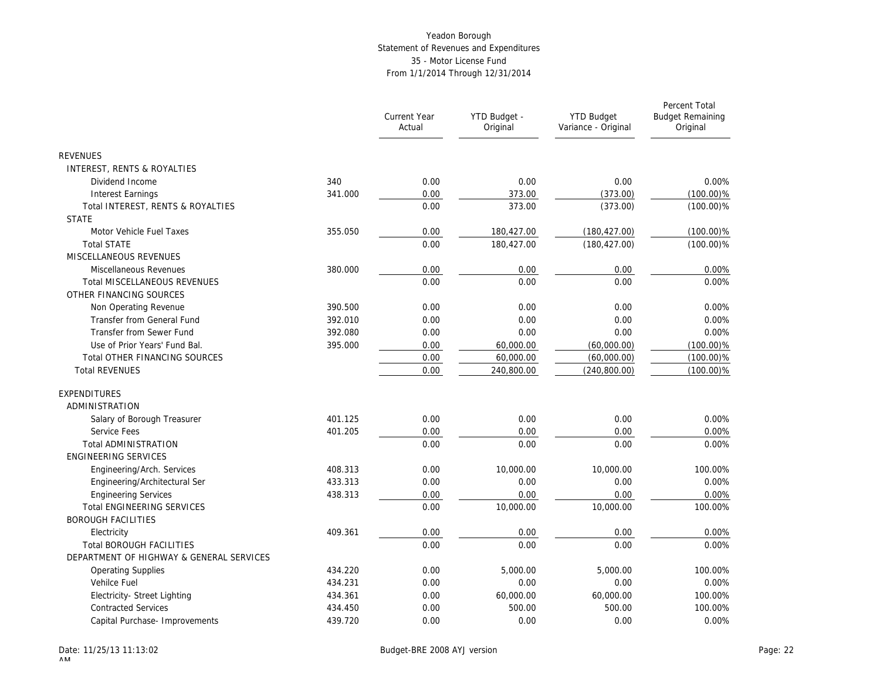|                                          |         | <b>Current Year</b><br>Actual | YTD Budget -<br>Original | <b>YTD Budget</b><br>Variance - Original | Percent Total<br><b>Budget Remaining</b><br>Original |
|------------------------------------------|---------|-------------------------------|--------------------------|------------------------------------------|------------------------------------------------------|
| <b>REVENUES</b>                          |         |                               |                          |                                          |                                                      |
| INTEREST, RENTS & ROYALTIES              |         |                               |                          |                                          |                                                      |
| Dividend Income                          | 340     | 0.00                          | 0.00                     | 0.00                                     | 0.00%                                                |
| <b>Interest Earnings</b>                 | 341.000 | 0.00                          | 373.00                   | (373.00)                                 | $(100.00)\%$                                         |
| Total INTEREST, RENTS & ROYALTIES        |         | 0.00                          | 373.00                   | (373.00)                                 | $(100.00)\%$                                         |
| <b>STATE</b>                             |         |                               |                          |                                          |                                                      |
| Motor Vehicle Fuel Taxes                 | 355.050 | 0.00                          | 180,427.00               | (180, 427.00)                            | $(100.00)\%$                                         |
| <b>Total STATE</b>                       |         | 0.00                          | 180,427.00               | (180, 427.00)                            | $(100.00)\%$                                         |
| MISCELLANEOUS REVENUES                   |         |                               |                          |                                          |                                                      |
| Miscellaneous Revenues                   | 380.000 | 0.00                          | 0.00                     | 0.00                                     | 0.00%                                                |
| Total MISCELLANEOUS REVENUES             |         | 0.00                          | 0.00                     | 0.00                                     | 0.00%                                                |
| OTHER FINANCING SOURCES                  |         |                               |                          |                                          |                                                      |
| Non Operating Revenue                    | 390.500 | 0.00                          | 0.00                     | 0.00                                     | 0.00%                                                |
| Transfer from General Fund               | 392.010 | 0.00                          | 0.00                     | 0.00                                     | 0.00%                                                |
| Transfer from Sewer Fund                 | 392.080 | 0.00                          | 0.00                     | 0.00                                     | 0.00%                                                |
| Use of Prior Years' Fund Bal.            | 395.000 | 0.00                          | 60,000.00                | (60,000.00)                              | $(100.00)\%$                                         |
| Total OTHER FINANCING SOURCES            |         | 0.00                          | 60,000.00                | (60,000.00)                              | $(100.00)\%$                                         |
| <b>Total REVENUES</b>                    |         | 0.00                          | 240,800.00               | (240, 800.00)                            | $(100.00)\%$                                         |
| <b>EXPENDITURES</b>                      |         |                               |                          |                                          |                                                      |
| ADMINISTRATION                           |         |                               |                          |                                          |                                                      |
| Salary of Borough Treasurer              | 401.125 | 0.00                          | 0.00                     | 0.00                                     | 0.00%                                                |
| Service Fees                             | 401.205 | 0.00                          | 0.00                     | 0.00                                     | 0.00%                                                |
| <b>Total ADMINISTRATION</b>              |         | 0.00                          | 0.00                     | 0.00                                     | 0.00%                                                |
| <b>ENGINEERING SERVICES</b>              |         |                               |                          |                                          |                                                      |
| Engineering/Arch. Services               | 408.313 | 0.00                          | 10,000.00                | 10,000.00                                | 100.00%                                              |
| Engineering/Architectural Ser            | 433.313 | 0.00                          | 0.00                     | 0.00                                     | 0.00%                                                |
| <b>Engineering Services</b>              | 438.313 | 0.00                          | 0.00                     | 0.00                                     | 0.00%                                                |
| <b>Total ENGINEERING SERVICES</b>        |         | 0.00                          | 10,000.00                | 10,000.00                                | 100.00%                                              |
| <b>BOROUGH FACILITIES</b>                |         |                               |                          |                                          |                                                      |
| Electricity                              | 409.361 | 0.00                          | 0.00                     | 0.00                                     | 0.00%                                                |
| <b>Total BOROUGH FACILITIES</b>          |         | 0.00                          | 0.00                     | 0.00                                     | 0.00%                                                |
| DEPARTMENT OF HIGHWAY & GENERAL SERVICES |         |                               |                          |                                          |                                                      |
| <b>Operating Supplies</b>                | 434.220 | 0.00                          | 5.000.00                 | 5.000.00                                 | 100.00%                                              |
| Vehilce Fuel                             | 434.231 | 0.00                          | 0.00                     | 0.00                                     | 0.00%                                                |
| Electricity- Street Lighting             | 434.361 | 0.00                          | 60,000.00                | 60,000.00                                | 100.00%                                              |
| <b>Contracted Services</b>               | 434.450 | 0.00                          | 500.00                   | 500.00                                   | 100.00%                                              |
| Capital Purchase- Improvements           | 439.720 | 0.00                          | 0.00                     | 0.00                                     | 0.00%                                                |
|                                          |         |                               |                          |                                          |                                                      |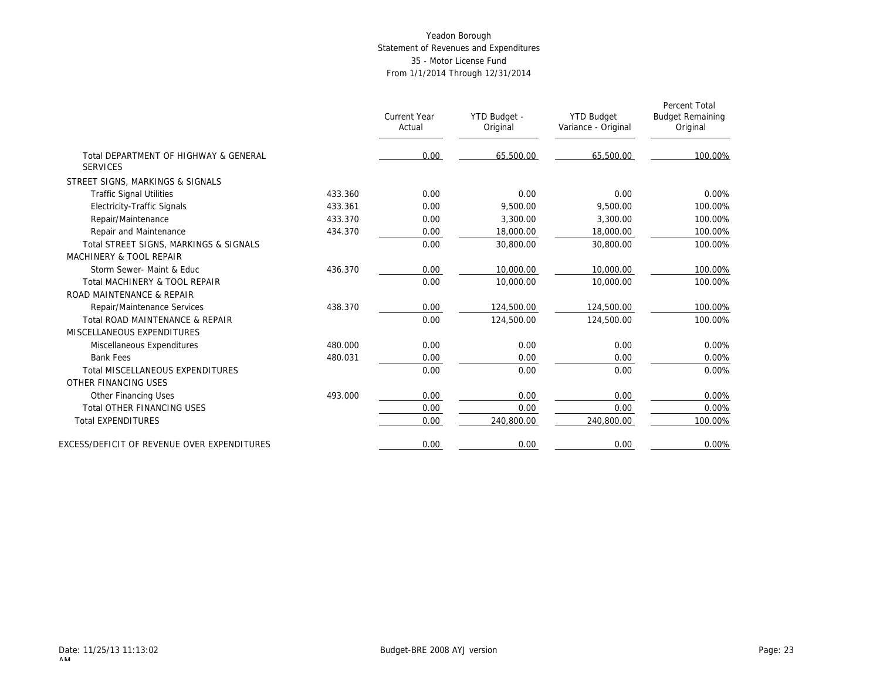|                                                          |         | <b>Current Year</b><br>Actual | YTD Budget -<br>Original | <b>YTD Budget</b><br>Variance - Original | Percent Total<br><b>Budget Remaining</b><br>Original |
|----------------------------------------------------------|---------|-------------------------------|--------------------------|------------------------------------------|------------------------------------------------------|
| Total DEPARTMENT OF HIGHWAY & GENERAL<br><b>SERVICES</b> |         | 0.00                          | 65,500.00                | 65,500.00                                | 100.00%                                              |
| STREET SIGNS, MARKINGS & SIGNALS                         |         |                               |                          |                                          |                                                      |
| <b>Traffic Signal Utilities</b>                          | 433.360 | 0.00                          | 0.00                     | 0.00                                     | 0.00%                                                |
| <b>Electricity-Traffic Signals</b>                       | 433.361 | 0.00                          | 9.500.00                 | 9.500.00                                 | 100.00%                                              |
| Repair/Maintenance                                       | 433.370 | 0.00                          | 3.300.00                 | 3.300.00                                 | 100.00%                                              |
| Repair and Maintenance                                   | 434.370 | 0.00                          | 18,000.00                | 18,000.00                                | 100.00%                                              |
| Total STREET SIGNS, MARKINGS & SIGNALS                   |         | 0.00                          | 30,800.00                | 30,800.00                                | 100.00%                                              |
| MACHINERY & TOOL REPAIR                                  |         |                               |                          |                                          |                                                      |
| Storm Sewer- Maint & Educ                                | 436.370 | 0.00                          | 10,000.00                | 10,000.00                                | 100.00%                                              |
| Total MACHINERY & TOOL REPAIR                            |         | 0.00                          | 10,000.00                | 10,000.00                                | 100.00%                                              |
| ROAD MAINTENANCE & REPAIR                                |         |                               |                          |                                          |                                                      |
| Repair/Maintenance Services                              | 438.370 | 0.00                          | 124,500.00               | 124,500.00                               | 100.00%                                              |
| Total ROAD MAINTENANCE & REPAIR                          |         | 0.00                          | 124,500.00               | 124,500.00                               | 100.00%                                              |
| MISCELLANEOUS EXPENDITURES                               |         |                               |                          |                                          |                                                      |
| Miscellaneous Expenditures                               | 480.000 | 0.00                          | 0.00                     | 0.00                                     | 0.00%                                                |
| <b>Bank Fees</b>                                         | 480.031 | 0.00                          | 0.00                     | 0.00                                     | 0.00%                                                |
| Total MISCELLANEOUS EXPENDITURES                         |         | 0.00                          | 0.00                     | 0.00                                     | 0.00%                                                |
| OTHER FINANCING USES                                     |         |                               |                          |                                          |                                                      |
| Other Financing Uses                                     | 493.000 | 0.00                          | 0.00                     | 0.00                                     | 0.00%                                                |
| <b>Total OTHER FINANCING USES</b>                        |         | 0.00                          | 0.00                     | 0.00                                     | 0.00%                                                |
| <b>Total EXPENDITURES</b>                                |         | 0.00                          | 240,800.00               | 240,800.00                               | 100.00%                                              |
| EXCESS/DEFICIT OF REVENUE OVER EXPENDITURES              |         | 0.00                          | 0.00                     | 0.00                                     | 0.00%                                                |